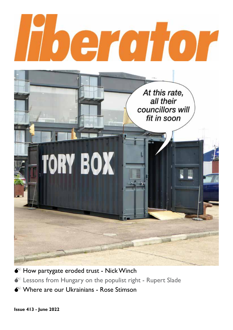



 $\bullet^*$  How partygate eroded trust - Nick Winch  $\bullet^*$  Lessons from Hungary on the populist right - Rupert Slade  $\bullet^*$  Where are our Ukrainians - Rose Stimson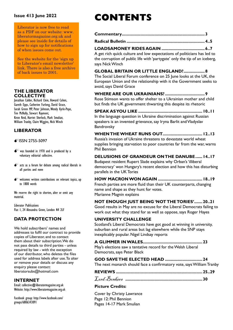#### **Issue 413 June 2022**

Liberator is now free to read as a PDF on our website: www. liberatormagazine.org.uk and please see inside for details of how to sign up for notifications of when issues come out.

See the website for the 'sign up to Liberator's email newsletter' link. There is also a free archive of back issues to 2001.

#### **THE LIBERATOR COLLECTIVE**

Jonathan Calder, Richard Clein, Howard Cohen, Gareth Epps, Catherine Furlong, David Grace, Sarah Green MP, Peter Johnson, Wendy Kyrle-Pope, Tim McNally, Stewart Rayment, Kiron Reid, Harriet Sherlock, Mark Smulian, William Tranby, Claire Wiggins, Nick Winch

#### **LIBERATOR**

#### <sup>■</sup>ISSN 2755-5097

- $\bullet^*$  was founded in 1970 and is produced by a voluntary editorial collective.
- $\bullet$ <sup>%</sup> acts as a forum for debate among radical liberals in all parties and none
- $\bullet$ <sup>%</sup> welcomes written contributions on relevant topics, up to 1800 words

We reserve the right to shorten, alter or omit any material.

Liberator Publications Flat 1, 24 Alexandra Grove, London N4 2LF

#### **DATA PROTECTION**

We hold subscribers' names and addresses to fulfil our contract to provide copies of Liberator, and to contact them about their subscription. We do not pass details to third parties - unless required by law - with the exception of our distributor, who deletes the files used for address labels after use. To alter or remove your details or discuss any enquiry please contact: liberatorsubs@hotmail.com

#### **INTERNET**

Email: collective@liberatormagazine.org.uk Website: http://www.liberatormagazine.org.uk

Facebook group: http://www.facebook.com/ groups/6806343091

## **CONTENTS**

| A get rich quick culture and low expectations of politicians has led to<br>the corruption of public life with 'partygate' only the tip of an iceberg,<br>says Nick Winch                                            |  |
|---------------------------------------------------------------------------------------------------------------------------------------------------------------------------------------------------------------------|--|
| <b>GLOBAL BRITAIN OR LITTLE ENGLAND? 8</b><br>The Social Liberal Forum conference on 25 June looks at the UK, the<br>European Union and the relationship with it the Government seeks to<br>avoid, says David Grace |  |
|                                                                                                                                                                                                                     |  |

**WHERE ARE OUR UKRAINIANS?..................................9** Rose Stimson wants to offer shelter to a Ukrainian mother and child but finds the UK government thwarting this despite its rhetoric

**SPEAK AS YOU LIKE .......................................................10..11** In the language question in Ukraine discrimination against Russian speakers is an invented grievance, say Iryna Barlit and Vladyslav Bandrovsky

**WHEN THE WHEAT RUNS OUT..................................12..13** Russia's invasion of Ukraine threatens to devastate world wheat supplies bringing starvation to poor countries far from the war, warns Phil Bennion

#### **DELUSIONS OF GRANDEUR ON THE DANUBE......14..17**

Budapest resident Rupert Slade explains why Orban's 'illiberal democracy' won Hungary's recent election and how this has disturbing parallels in the UK Tories

**HOW MACRON WON AGAIN ......................................18..19** French parties are more fluid than their UK counterparts, changing name and shape as they hunt for votes. Marianne Magnin explains

**NOT ENOUGH JUST BEING 'NOT THE TORIES'.......20..21** Good results in May are no excuse for the Liberal Democrats failing to work out what they stand for as well as oppose, says Roger Hayes

#### **UNIVERSITY CHALLENGE**

Scotland's Liberal Democrats have got good at winning in university, suburban and rural areas but lag elsewhere while the SNP stays inexplicably popular. Nigel Lindsay reports

**A GLIMMER IN WALES...................................................23** May's elections saw a tentative record for the Welsh Liberal Democrats, says Peter Black

**GOD SAVE THE ELECTED HEAD ................................24** The next monarch should face a confirmatory vote, says William Tranby

#### **Picture Credits:**

Cover by Christy Lawrance Page 12: Phil Bennion Pages 14-17 Mark Smulian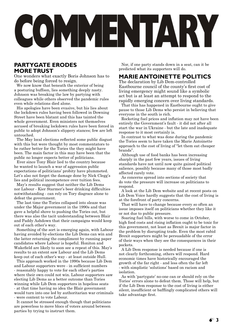# COMMENTARY

#### **PARTYGATE ERODES MORE TRUST**

One wonders what exactly Boris Johnson has to do before being forced to resign.

We now know that beneath the exterior of being a posturing buffoon, lies something deeply nasty. Johnson was breaking the law by partying with colleagues while others observed the pandemic rules even while relations died alone.

His apologies have been evasive, but his lies about the lockdown rules having been followed in Downing Street have been blatant and this has tainted the whole government. Even ministers not themselves accused of breaking lockdown rules have been forced in public to adopt Johnson's slippery stances; few are left untouched.

The May local elections reflected some public disgust with this but were thought by most commentators to be rather better for the Tories the they might have been. The main factor in this may have been that the public no longer expects better of politicians.

Ever since Tony Blair lied to the country because he wanted to launch a war of aggression public expectations of politicians' probity have plummeted. Let's also not forget the damage done by Nick Clegg's lies and political incompetence over tuition fees.

May's results suggest that neither the Lib Dems nor Labour - Kier Starmer's beer drinking difficulties notwithstanding - can rely on Tory disgrace alone to defeat the government.

The last time the Tories collapsed into sleaze was under the Major government in the 1990s and that gave a helpful shove to pushing the Tories out, but there was also the tacit understanding between Blair and Paddy Ashdown that their campaigns would keep out of each other's way.

Something of the sort is emerging again, with Labour having avoided by-elections the Lib Dems can win and the latter returning the compliment by running paper candidates where Labour is hopeful. Honiton and Wakefield are likely to soon see a repeat of this. May's results to an extent saw Labour and the Lib Dems keep out of each other's way - at least outside Hull.

This approach worked in the 1990s because Lib Dem and Labour supporters were - in sufficient numbers - reasonably happy to vote for each other's parties where their own could not win. Labour supporters saw electing Lib Dems as a better outcome than Tories winning while Lib Dem supporters in hopeless seats - at that time having no idea the Blair government would turn into one led by authoritarian war criminals - were content to vote Labour.

It cannot be stressed enough though that politicians are powerless to move blocs of voters around between parties by trying to instruct them.

Nor, if one party stands down in a seat, can it be predicted what its supporters will do.

#### **MARIE ANTOINETTE POLITICS**

The declaration by Lib Dem-controlled Eastbourne council of the county's first cost of living emergency might sound like a symbolic act but is at least an attempt to respond to the rapidly emerging concern over living standards.

That this has happened in Eastbourne ought to give pause to those Lib Dems who persist in believing that everyone in the south is rich.

Rocketing fuel prices and inflation may not have been entirely the Government's fault - it did not after all start the war in Ukraine - but the late and inadequate response to it most certainly is.

In contrast to what was done during the pandemic the Tories seem to have taken the Marie Antoinette approach to the cost of living of "let them eat cheaper brands".

Although use of food banks has been increasing sharply in the past few years, issues of living standards have not until now quite gained political salience, possibly because many of those most badly affected rarely vote.

As concerns spread into sections of society that do vote the pressure will increase on politicians to respond.

A look at the Lib Dem website and at recent posts on Lib Dem Voice hardly suggests that the cost of living is at the forefront of party concerns.

That will have to change because every so often an issue imposes itself on politicians whether they like it or not due to public pressure.

Soaring fuel bills, with worse to come in October, high food costs and rising inflation ought to be toxic for this government, not least as Brexit is major factor in the problem by disrupting trade. Even the most rabid Brexit supporters might be persuadable of the error of their ways when they see the consequences in their pockets.

A Lib Dem response is needed because if one is not clearly forthcoming, others will respond. Hard economic times have historically encouraged the growth of the far right - and less often the far left - with simplistic 'solutions' based on racism and isolation.

As with 'partygate' no-one can or should rely on the Tories' errors alone to defeat them. Those will help, but if the Lib Dem response to the cost of living is either silent, insufficient or bafflingly complicated others will take advantage first.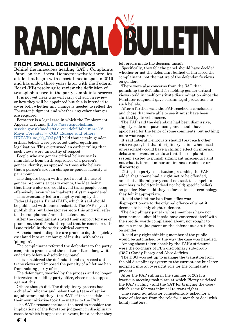

#### **FROM SMALL BEGINNINGS**

Behind the innocuous heading 'SAT v Complaints Panel' on the Liberal Democrat website there lies a tale that began with a social media spat in 2019 and has ended three years later with the Federal Board (FB) resolving to review the definition of transphobia used in the party complaints process.

It is not yet clear who will carry out such a review or how they will be appointed but this is intended to cover both whether any change is needed to reflect the Forstater judgment and whether any other changes are required.

Forstater is a legal case in which the Employment Appeals Tribunal [[https://assets.publishing.](https://assets.publishing.service.gov.uk/media/60c1cce1d3bf7f4bd9814e39/Maya_Forstater_v_CGD_Europe_and_others_UKEAT0105_20_JOJ.pdf) [service.gov.uk/media/60c1cce1d3bf7f4bd9814e39/](https://assets.publishing.service.gov.uk/media/60c1cce1d3bf7f4bd9814e39/Maya_Forstater_v_CGD_Europe_and_others_UKEAT0105_20_JOJ.pdf) Maya Forstater v CGD Europe and others [UKEAT0105\\_20\\_JOJ.pdf\]](https://assets.publishing.service.gov.uk/media/60c1cce1d3bf7f4bd9814e39/Maya_Forstater_v_CGD_Europe_and_others_UKEAT0105_20_JOJ.pdf) held that certain gender critical beliefs were protected under equalities legalisation. This overturned an earlier ruling that such views were unworthy of respect.

People who are gender critical believe sex is immutable from birth regardless of a person's gender identity, as opposed to those who believe that a person's sex can change or gender identity is paramount.

The dispute began with a post about the use of gender pronouns at party events, the idea being that their wider use would avoid trans people being offensively (even when inadvertently) mis-gendered.

This eventually led to a lengthy ruling by the Federal Appeals Panel (FAP), which it said should be published with names redacted. The FAP is yet to publish this but Liberator respects this and will refer to 'the complainant' and 'the defendant'.

After the complainant stated their support for use of pronouns, the defendant replied that he considered the issue trivial in the wider political context.

As social media disputes are prone to do, this quickly escalated into an exchange of insults, with others 'piling in'.

The complainant referred the defendant to the party complaints process and the matter, after a long wait, ended up before a disciplinary panel.

This considered the defendant had expressed antitrans views and imposed the penalty of a lifetime ban from holding party office.

The defendant, wearied by the process and no longer interested in holding party office, chose not to appeal against this.

Others though did. The disciplinary process has a chief adjudicator and below that a team of senior adjudicators and they - the 'SAT' of the case title - on their own initiative took the matter to the FAP.

The SAT's reasons included the need to consider the implications of the Forstater judgment in disciplinary cases to which it appeared relevant, but also that they felt errors made the decision unsafe.

Specifically, they felt the panel should have decided whether or not the defendant bullied or harassed the complainant, not the nature of the defendant's views on gender.

There were also concerns from the SAT that punishing the defendant for holding gender critical views could in itself constitute discrimination since the Forstater judgment gave certain legal protections to such beliefs.

After a further wait the FAP reached a conclusion and those that were able to see it must have been startled by its vehemence.

The FAP said the defendant had been dismissive, slightly rude and patronising and should have apologised for the tenor of some comments, but nothing more was required.

It said Liberal Democrats should treat each other with respect, but that disciplinary action when used unreasonably could have a chilling effect on internal debate and went on to state that the complaints system existed to punish significant misconduct and not what it termed minor unkindness, rudeness or discourtesy.

Citing the party constitution preamble, the FAP added that no-one had a right not to be offended, and that a liberal party could not seek to compel its members to hold (or indeed not hold) specific beliefs on gender. Nor could they be forced to use terminology they felt inappropriate.

It said the lifetime ban from office was disproportionate to the original offence of what it deemed to be only slight rudeness.

The disciplinary panel - whose members have not been named - should it said have concerned itself with the specific words complained about, not sought to make a moral judgment on the defendant's attitudes on gender.

It said any right-thinking member of the public would be astonished by the way the case was handled.

Among those taken aback by the FAP's strictures were the co-chairs of FB's disciplinary sub-group (DSG) Candy Piercy and Alice Jeffries.

The DSG was set up to manage the transition from the old disciplinary system to the current one but later morphed into an oversight role for the complaints process.

After the FAP ruling in the summer of 2021, a fractious meeting took place at which Piercy criticised the FAP's ruling - and the SAT for bringing the case which some felt was inimical to trans rights.

One senior adjudicator coincidentally asked for a leave of absence from the role for a month to deal with family matters.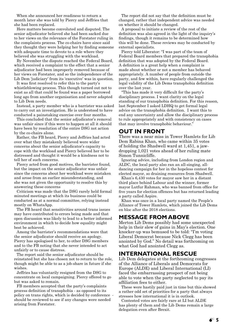When she announced her readiness to return a month later she was told by Piercy and Jeffries that she had been replaced.

Here matters become convoluted and disputed. The senior adjudicator believed she had been sacked due to her views on the relevance of the Forstater ruling in the complaints process. The co-chairs have since said they thought they were helping her by finding someone with adequate time to devote to a role where they believed she was struggling with the workload.

By November the dispute reached the Federal Board, which received a complaint to the effect that a senior adjudicator had been improperly removed because of her views on Forstater, and so the independence of the Lib Dem 'judiciary' from its 'executive' was in question.

It was first resolved to refer this to the party's whistleblowing process. This though turned out not to exist as all that could be found was a paper borrowed long ago from another organisation and never adapted to Lib Dem needs.

Instead, a party member who is a barrister was asked to carry out an investigation. He is understood to have conducted a painstaking exercise over four months.

This concluded that the senior adjudicator's removal was unfair since if this were to happen at all it should have been by resolution of the entire DSG not action by the co-chairs alone.

Rather, the FB heard, Piercy and Jeffries had acted over what they mistakenly believed were wider concerns about the senior adjudicator's capacity to cope with the workload and Piercy believed her to be distressed and thought it would be a kindness not to tell her of such concerns.

Piercy acted from good motives, the barrister found, but the impact on the senior adjudicator was unfair since the concerns about her workload were mistaken and arose from an earlier misunderstanding, and she was not given the opportunity to resolve this by answering these concerns

Criticism was made that the DSG rarely held formal minuted meetings at which its business could be conducted as at a normal committee, relying instead mostly on WhatsApp.

The FB heard that sensitivities around trans issues may have contributed to errors being made and that open discussion was likely to lead to a better informed environment in which to decide how equality might best be achieved.

Among the barrister's recommendations were that the senior adjudicator should receive an apology. Piercy has apologised to her, to other DSG members and to the FB noting that she never intended to act unfairly or to cause distress.

The report said the senior adjudicator should be reinstated but she has chosen not to return to the role, though might be able to as a job-share in future if she wishes.

Jeffries has voluntarily resigned from the DSG to concentrate on local campaigning. Piercy offered to go but was asked to remain.

FB members accepted that the party's complaints process definition of transphobia - as opposed to its policy on trans rights, which is decided by conference should be reviewed to see if any changes were needed arising from Forstater.

The report did not say that the definition must be changed, rather that independent advice was needed on whether it should be changed.

A proposal to initiate a review of the rest of the definition was also agreed in the light of the inquiry's findings, though it remains to be determined how this will be done. These reviews may be conducted by external specialists.

Piercy told Liberator: "I was part of the team of Federal Board members that prepared the transphobia definition that was adopted by the Federal Board. A definition is a great help when a complaint is made about whether or not a member has behaved appropriately. A number of people from outside the party, and few within, have regularly challenged the legal validity of the Lib Dems transphobia definition over the last year.

"This has made it very difficult for the party's disciplinary process. I want clarity on the legal standing of our transphobia definition. For this reason, last September I asked LDHQ to get formal legal advice on the transphobia definition. I want this to end any uncertainty and allow the disciplinary process to rule appropriately and with consistency on cases that may involve transphobic behaviour."

#### **OUT IN FRONT**

There was a near miss in Tower Hamlets for Lib Dem Rabina Khan, who came within 35 votes of holding the Shadwell ward at 1,451, a jawdropping 1,021 votes ahead of her ruling mate Simon Tunnicliffe.

Ignoring advice, including from London region and ALDC, the local party also ran an all-singing, alldancing campaign for her in the hopeless contest for elected mayor, so draining resources from Shadwell.

Khan's 6,430 votes for mayor saw her in a distant third place behind Labour and the winner, former mayor Lutfur Rahman, who was banned from office for five years for election offences but has returned leading a party called Aspire.

Khan was once in a local party named the People's Alliance of Tower Hamlets, which joined the Lib Dems en bloc after the 2018 elections.

#### **MESSAGE FROM ABOVE**

Merton Lib Dems possibly had some unexpected help in their slew of gains in May's election. One knocker-up was bemused to be told: "I'm voting Liberal Democrat because Nick Clegg has been anointed by God." No detail was forthcoming on what God had anointed Clegg as.

#### **INTERNATIONAL RESCUE**

Lib Dem delegates at the forthcoming congresses of the Alliance of Liberals and Democrats for Europe (ALDE) and Liberal International (LI) faced the embarrassing prospect of not being able to vote when the party neglected to pay its affiliation fees to either.

These were hastily paid just in time but this showed a rather odd set of priorities for a party that always stresses how international it is in outlook.

Contested votes are fairly rare at LI but ALDE has plenty of them and the Lib Dems remain a large delegation even after Brexit.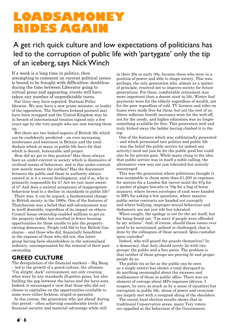## **LOADSAMONEY RIDES AGAIN**

## A get rich quick culture and low expectations of politicians has led to the corruption of public life with 'partygate' only the tip of an iceberg, says Nick Winch

If a week is a long time in politics, then attempting to comment on current political issues is bound to be fraught with difficulties: doubtless during the time between Liberator going to virtual press and appearing, events will have taken any number of unpredictable turns.

Sue Gray may have reported. Durham Police likewise. We may have a new prime minister, or leader of the opposition. The Northern Ireland protocol may have been scrapped and the United Kingdom may be in breach of international treaties signed only a few years ago by the very people who are now tearing them up.

But there are two linked aspects of British life which can be confidently predicted – an ever-increasing intolerance and nastiness in Britain and the total disdain which so many in public life have for that which is decent, honourable and proper.

How did we get to this position? Has there always been an under-current in society which is dismissive of civilised norms of behaviour, and is this under-current now merely nearer the surface? Has the disconnect between the public and those in authority always existed or is it a recent development, and if so, who is primarily responsible for it? Are we just more aware of it? And does a societal acceptance of inappropriate behaviour lead to a decline in standards in public life?

There was, it can be argued, a fundamental change in British society in the 1980s. One of the features of Thatcherism was a belief that self-advancement was in itself desirable, regardless of its impact on others. Council house ownership enabled millions to get on the property ladder but resulted in fewer housing opportunities for those unable to join the propertyowning democracy. People told Sid to buy British Gas shares – and those who did, financially benefitted at the expense of those who did not, this latter group having been shareholders in the nationalised industry, uncompensated for the removal of their partownership.

#### **GREED CULTURE**

The deregulation of the financial markets – Big Bang – led to the growth of a greed culture, the ultimate "I'm alright, Jack" environment, not only creating what were by any standards ill-gotten gains, but also fuelling the gap between the haves and the have-nots. Indeed, it encouraged a view that those who did not choose to capitalise on the opportunities available to some were either feckless, stupid or parasitic.

In due course, the generation who 'got ahead' during this period – often achieving considerable levels of financial security and material advantage while still

in their 20s or early 30s, became those who were in a position of power and able to shape society. This was, perhaps, the only generation who, almost as a matter of principle, resolved not to improve society for future generations. For them, comfortable retirement was more important than a decent start in life. Winter fuel payments were for the elderly regardless of wealth, not for the poor regardless of cold. TV licences and rides on buses were made free for them, but not the rest of us. Above inflation benefit increases were for the well-off, not for the needy, and higher education was no longer something available for free. This generation well and truly kicked away the ladder having climbed it to the top.

One of the features which was subliminally generated – and which permeated into politics and public life – was the belief the public service (or indeed any activity) need not just be for the public good but could also be for private gain. While many clung to the idea that public service was in itself a noble calling, the alternative view was not just tolerated but actively encouraged.

This was the generation where politicians thought it was acceptable to claim more than £1,200 in expenses for mirrors for a London flat (never mind the 67p for a packet of ginger biscuits or 70p for a bag of horse manure), where brown envelopes of cash were handed to MPs for asking a few questions, where massive public sector contracts are handed out corruptly and where bullying, improper sexual behaviour and dishonesty are not just rife but tolerated.

When caught, the apology is not for the act itself, but for being found out: "I'm sorry if people were offended by my actions". And, of course, should these issues ever need to be scrutinised, policed or challenged, that is done by the colleagues of those accused. Quis custodiet ipsos custodes?

Indeed, who will guard the guards themselves? In a democracy, that duty should surely lie with two groups: the public and a free press. The problem is that neither of those groups are proving fit and proper people do so.

The public (in so far as the public can be seen as a single entity) has shown a total disregard to do anything meaningful about the excesses and malfeasance of those in public office. There was an element of outrage about MPs expenses (driven, I suspect, by envy as much as by a sense of injustice) but corruption in public life, abuse of power and cronyism are largely met with a resigned shrug of the shoulders.

The recent local election results shows that in traditional Conservative areas, many Tory voters are appalled at the behaviour of the Government.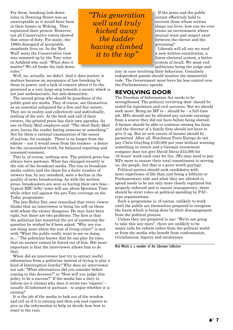For them, breaking lock-down rules in Downing Street was as unacceptable as it would have been in their homes in Woking. They registered their protest. However, not all Conservative voters showed that sense of duty. For many, the 1980s disregard of acceptable standards lives on. In the 'Red Wall' seats the Conservative view was summed up by the Tory voter in Ashfield who said: "What does it matter? We all broke the lock-down rules."

Well, no, actually, we didn't. And it does matter: it matters because an acceptance of law-breaking by those in power, and a lack of concern about it by the governed is a very large step towards a society which is not just undemocratic, but anti-democratic.

The second group who should be guardians of the public good are media. They of course, see themselves as an essential safeguard for a free and fair society. They are in reality and collectively and individually, nothing of the sort. At the beck and call of their owners, the printed press has their own agendas. As one ex-Daily Mail employee said: "The ideal Daily Mail story leaves the reader hating someone or something." Not for them a rational examination of the issues of asylum, for example. There is no longer from the editors – nor it would seem from the readers - a desire for the unvarnished truth, for balanced reporting and reasoned comment.

This is, of course, nothing new. The printed press has always been partisan. What has changed recently is the role of the broadcast media. The rise in broadcast media outlets and the chase for a finite number of viewers has, by any standard, seen a decline in the quality of news broadcasting. As with the written press, broadcasters are seen as having their own bias – 'typical BBC-lefty' some will say about Question Time while other rail against the pro-Tory coverage on the Today programme.

The late Robin Day once remarked that every viewer thinks that an interviewer is being too soft on those with whom the viewer disagrees. He may have been right, but there are two problems. The first is that the politician has mastered the art of answering the question he wished he'd been asked. "Why are you not doing more about the cost of living crisis?" is met with "What the public really want to see us doing is…" The politician knows that he can play for time, that an answer cannot be forced out of him. But more important is that the interviewer allows him to do that.

When did an interviewer last try to extract useful information from a politician instead of trying to play a kind of Interruption Gotcha? Why does an interviewer not ask: "What alternatives did you consider before coming to this decision?" or "How will you judge this policy to be a success?" If the media has a duty to inform (as it claims) why does it invite two 'experts' – usually ill-informed or partisan - to argue whether it is raining?

It is the job of the media to look out of the window and tell us if it is raining and then ask real experts to give us the information to help us decide how best to react to the rain.

*"This generation well and truly kicked away the ladder having climbed it to the top"*

If the press and the public cannot effectively hold to account those whose actions shape our lives, how can we ever create an environment where mutual trust and respect exist between the elector and the governing?

Liberals will all say we need a new written constitution, a fairer electoral system, a better system of recall. We must end politicians being the judge and

jury in case involving their behaviour. Genuinely independent panels should monitor the ministerial code. The Government must have far less control over the Parliamentary agenda.

#### **REVOLVING DOOR**

The Freedom of Information Act needs to be strengthened. The political 'revolving door' should be ended for legislators and civil servants. But we should seek more. Being an MP is – should be – a full-time job. MPs should not be allowed any outside earnings from a source they did not have before being elected. A farmer should be able to continue owning his farm and the director of a family firm should not have to give it up. But no new source of income should be permitted. After all, Hutchison Ports Europe do not pay Chris Grayling £100,000 per year without wanting something in return and a German investment company does not give David Davis £33,000 for 16-hours' work each year for fun. (We may need to pay MPs more to ensure their total commitment to serving us, the people, but that is a price worth paying).

Political parties should seek candidates with more experience of life than just being a lobbyist or Parliamentary aide and what they are allowed to spend needs to be not only more closely regulated but properly enforced and to ensure transparency, there should be strict rules on political spending by PACtype organisations.

Such a programme is, of course, unlikely to work until the public are themselves prepared to recognise the harm which is being done by their disengagement from the political process.

Unless they are prepared to say: "We're not going to take this any more", there are unlikely to be major calls for reform either from the political world or from the media who benefit from confrontation, trivialisation, bigotry and intolerance.

Nick Winch is a member of the Liberator Collective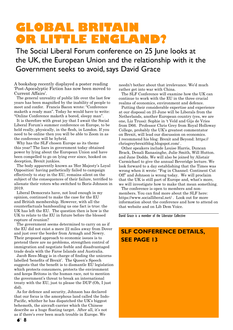## **GLOBAL BRITAIN OR LITTLE ENGLAND?**

The Social Liberal Forum conference on 25 June looks at the UK, the European Union and the relationship with it the Government seeks to avoid, says David Grace

A bookshop recently displayed a poster reading 'Post-Apocalyptic Fiction has now been moved to Current Affairs'.

The general unreality of public life over the last few years has been magnified by the inability of people to meet and confer. Francis Bacon wrote: "Conference maketh a ready man". Today he would have to write: "Online Conference maketh a bored, sleepy man".

It is therefore with great joy that I await the Social Liberal Forum's summer conference on Europe, to be held really, physically, in the flesh, in London. If you need to be online then you will be able to Zoom in as the conference will be hybrid.

Why has the SLF chosen Europe as its theme this year? The liars in government today obtained power by lying about the European Union and have been compelled to go on lying ever since, hooked on deception, Brexit junkies.

The body apparently known as 'Her Majesty's Loyal Opposition' having pathetically failed to campaign effectively to stay in the EU, remains silent on the subject of the consequences of their failure, terrified to alienate their voters who switched to Boris Johnson in 2019.

Liberal Democrats have, not loud enough in my opinion, continued to make the case for the EU and British membership. However, with all the counterfactuals bamboozling us one fact is true: the UK has left the EU. The question then is how is the UK to relate to the EU in future before the blessed rapture of reunion?

The government seems determined to carry on as if the EU did not exist a mere 22 miles away from Dover and just over the border from Armagh and Newry. Their proposed approach to economic issues is to pretend there are no problems, strengthen control of immigration and negotiate feeble and disadvantaged trade deals with the Faroe Islands and Australia.

Jacob Rees-Mogg is in charge of finding the unicorns labelled 'benefits of Brexit'. The Queen's Speech suggests that the benefit is to dismantle EU legislation which protects consumers, protects the environment and keeps Britons in the human race, not to mention the government's threat to break an international treaty with the EU, just to please the DUP (Oh, I just did).

As for defence and security, Johnson has declared that our focus is the amorphous land called the Indo-Pacific, whither he has dispatched the UK's biggest behemoth, the aircraft-carrier which the Chinese describe as a huge floating target. After all, it's not as if there's ever been much trouble in Europe. We

needn't bother about that irrelevance. We'd much rather get into war with China.

The SLF Conference will examine how the UK can continue to work with the EU in the three crucial realms of economics, environment and defence.

Putting their considerable expertise and experience at our disposal on 25 June will be Liberals from the Netherlands, another European country (yes, we are one, Liz Truss): Sophie in 't Veld and Gijs de Vries from D66. Professor Chris Grey from Royal Holloway College, probably the UK's greatest commentator on Brexit, will lead our discussion on economics. I recommend his blog: Brexit and Beyond: https:// chrisgreybrexitblog.blogspot.com/ .

Other speakers include Louise Harris, Duncan Brack, Denali Ranasinghe, Julie Smith, Will Hutton. and Jane Dodds. We will also be joined by Alistair Carmichael to give the annual Beveridge lecture. We look forward to a day establishing that the Times was wrong when it wrote: "Fog in Channel: Continent Cut Off" and Johnson is wrong today. We will proclaim that the UK is still part of Europe and, what's more, we will investigate how to make that mean something.

The conference is open to members and nonmembers. You can find more about the SLF here: https://www.socialliberal.net/ . Look out for more information about the conference and how to attend on that website and on Lib Dem Voice.

David Grace is a member of the Liberator Collective

#### **SLF CONFERENCE DETAILS, SEE PAGE 13**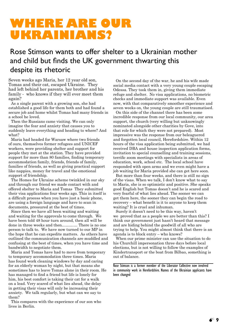# **WHERE ARE OUR UKRAINIANS?**

## Rose Stimson wants to offer shelter to a Ukrainian mother and child but finds the UK government thwarting this despite its rhetoric

Seven weeks ago Maria, her 12 year old son, Tomas and their cat, escaped Ukraine. They had left behind her parents, her brother and his family - who knows if they will ever meet them again?

As a single parent with a growing son, she had established a good life for them both and had found a secure job and home whilst Tomas had many friends in a school he loved.

Then the Russians came visiting. We can only imagine the fear and anxiety that causes you to suddenly leave everything and heading to where? And what?

Maria had headed for Warsaw where two friends of ours, themselves former refugees and UNICEF workers, were providing shelter and support for people they met at the station. They have provided support for more than 80 families, finding temporary accommodation family, friends, friends of family, families of friends, as well as giving practical support like nappies, money for travel and the emotional support of friendship.

The Homes for Ukraine scheme twinkled in our sky and through our friend we made contact with and offered shelter to Maria and Tomas They submitted their visa applications four weeks ago. This in itself is a difficult process when you have just a basic phone, are using a foreign language and have to scan in documents, pressured at the best of times.

Since then we have all been waiting and waiting and waiting for the approvals to come through. We have been told 48 hour turn around, then all will be done in three weeks and then………… There is no one person to talk to. We have now turned to our MP in the hope that he can expedite matters. As others have outlined the communication channels are muddled and confusing at the best of times, when you have time and bandwidth to negotiate them.

Maria and Tomas have had to move from temporary to temporary accommodation three times. Maria has found work cleaning windows by day and caring for an elderly woman by night, but that means she sometimes has to leave Tomas alone in their room. He has managed to find a friend but life is lonely for him, his best comfort is taking their cat for a walk on a lead. Very scared of what lies ahead, the delay in getting their visas will only be increasing their anxiety. We talk regularly, but what can we say to them?

This compares with the experience of our son who lives in Berlin.

On the second day of the war, he and his wife made social media contact with a very young couple escaping Odessa. They took them in, giving them immediate refuge and shelter. No visa applications, no biometric checks and immediate support was available. Even now, with that comparatively smoother experience and seven weeks on, the young couple are still traumatised.

On this side of the channel there has been some incredible response from our local community, our area support, the church (very willing but unknowingly nominated alongside other charities by Gove, into that role for which they were not prepared). Most impressive was the response from our beleaguered and forgotten local council, Herefordshire. Within 12 hours of the visa application being submitted, we had received DBA and house inspection application forms, invitation to special counselling and training sessions, terrific zoom meetings with specialists in areas of education, work, school etc. The local school have responded with open arms and we even might have a job waiting for Maria provided she can get here soon.

But more than four weeks, and there is still no sign of the visas. When we talk, I don't know what to say to Maria, she is so optimistic and positive. She speaks good English but Tomas doesn't and he is scared and very fearful of what lies ahead. The sooner we can get them here, the sooner they can begin the road to recovery – what benefit is it to anyone to keep them waiting? It is cruel and inhuman.

Surely it doesn't need to be this way, haven't we proved that as a people we are better than this? I think our government just hasn't heard that message and are hiding behind the goodwill of all who are trying to help. You might almost think that there is an agenda is to block entry – who knows?

When our prime minister can use the situation to do his Churchill impersonation three days before local elections, but is not willing to follow the examples of Kindertransport or the boat from Bilbao, something is out of balance.

Rose Stimson is a former member of the Liberator Collective now involved in community work in Herefordshire. Names of the Ukrainian applicants have been changed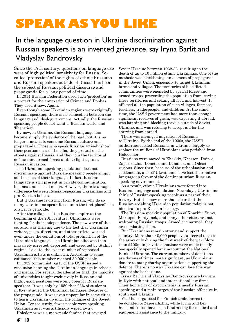# **SPEAK AS YOU LIKE**

## In the language question in Ukraine discrimination against Russian speakers is an invented grievance, say Iryna Barlit and Vladyslav Bandrovsky

Since the 17th century, questions on language use were of high political sensitivity for Russia. Socalled 'protection' of the rights of ethnic Russians and Russian speakers outside of Russia has been the subject of Russian political discourse and propaganda for a long period of time.

In 2014 Russian Federation used such 'protection' as a pretext for the annexation of Crimea and Donbas. They used it now. Again.

Even though some Ukrainian regions were originally Russian-speaking, there is no connection between the language and ideology anymore. Actually, the Russianspeaking people do not want a 'Russian world' and 'liberation'.

By now, in Ukraine, the Russian language has become simply the evidence of the past, but it is no longer a means to consume Russian culture and propaganda. Those who speak Russian actively show their position on social media, they protest on the streets against Russia, and they join the territorial defence and armed forces units to fight against Russian invasion.

The Ukrainian-speaking population does not discriminate against Russian-speaking people simply on the basis of their language. In fact, Russian language is still present in private communication, business, and social media. However, there is a huge difference between Russian-speaking Ukrainians and pro-Russian beliefs.

But if Ukraine is distinct from Russia, why do so many Ukrainians speak Russian in the first place? The answer is genocide.

After the collapse of the Russian empire at the beginning of the 20th century, Ukrainians were fighting for their independence. The new wave of the cultural was thriving due to the fact that Ukrainian writers, poets, directors, and other artists, worked even under the conditions of total prohibition of the Ukrainian language. The Ukrainian elite was then massively arrested, deported, and executed by Stalin's regime. To date, the exact number of repressed Ukrainian artists is unknown. According to some estimates, this number reached 30,000 people.

In 1932 communist party of the USSR issued a resolution banning the Ukrainian language in schools and media. For several decades after that, the majority of universities taught exclusively in Russian and highly-paid positions were only open for Russianspeakers. It was only by 1959 that 23% of students in Kyiv studied the Ukrainian language. Because of the propaganda, it was even unpopular in some cities to learn Ukrainian up until the collapse of the Soviet Union. Consequently, fewer people were speaking Ukrainian as it was artificially wiped away.

Holodomor was a man-made famine that ravaged

Soviet Ukraine between 1932-33, resulting in the death of up to 10 million ethnic Ukrainians. One of the methods was blacklisting, an element of propaganda in the Soviet Union, especially to target Ukrainian farms and villages. The territories of blacklisted communities were encircled by special forces and armed troops, preventing the population from leaving these territories and seizing all food and harvest. It affected all the population of such villages, farmers, teachers, tradespeople, and children. At the same time, the USSR government had more than enough significant reserves of grain, was exporting it abroad, was banning and blocking travels outside of Soviet Ukraine, and was refusing to accept aid for the starving from abroad.

There was arranged migration of Russians to Ukraine. By the end of the 1930s, the USSR authorities settled Russians in Ukraine, largely to replace the millions of Ukrainians who perished from Holodomor.

Russians were moved to Kharkiv, Kherson, Dnipro, Zaporizhzhia, Donetsk and Luhansk, and Odesa regions. Since then, because of the urbanisation and settlements, a lot of Ukrainians have lost their native language in favour of the dominant urban Russianspeaking environment.

As a result, ethnic Ukrainians were forced into Russian language assimilation. Nowadays, Ukrainians think of Russian-speaking people as a part of their history. But it is now more than clear that the Russian-speaking Ukrainian population today is not identical to pro-Russian ideology.

The Russian-speaking population of Kharkiv, Sumy, Mariupol, Berdyansk, and many other cities are not welcoming Russian troops. Armed or unarmed, they are combating them.

But Ukrainians remain strong and support the country. More than 40,000 people volunteered to go to the army only during the first week of the war. More than £100m in private donations were made to only one specially opened bank account at the National Bank of Ukraine. The current numbers of donations are dozens of times more significant, as Ukrainians donate to many charity organisations supporting the defence. There is no way Ukraine can lose this war against the barbarians.

Iryna Barlit and Vladyslav Bandrovsky are lawyers in Kyiv with national and international law firms. Their home city of Zaporizhzhia is mostly Russian speaking and a main target of the Russian offensive in south east Ukraine.

Vlad has organised for Finnish ambulances to be donated to Zaporizhzhia, while Iryna and her husband Anton have been fundraising for medical and equipment assistance to the military.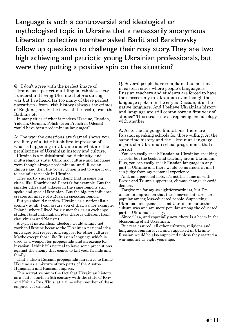Language is such a controversial and ideological or mythologised topic in Ukraine that a necessarily anonymous Liberator collective member asked Barlit and Bandrovsky follow up questions to challenge their rosy story. They are two high achieving and patriotic young Ukrainian professionals, but were they putting a positive spin on the situation?

Q: I don't agree with the perfect image of Ukraine as a perfect multilingual ethnic society. I understand loving Ukraine rhetoric during war but I've heard far too many of these perfect narratives - from Irish history (always the crimes of England, rarely the flaws of the Irish), from the Balkans etc.

In many cities of what is modern Ukraine, Russian, Yiddish, German, Polish (even French in Odessa) would have been predominant languages?

A: The way the questions are framed shows you are likely of a little bit shifted impression of what is happening in Ukraine and what are the peculiarities of Ukrainian history and culture.

Ukraine is a multicultural, multiethnicity, and multireligious state. Ukrainian culture and language were though always predominant, until Russian Empire and then the Soviet Union tried to wipe it out to assimilate people in Ukraine

They partly succeeded in doing that in some big cities, like Kharkiv and Donetsk for example. But the smaller cities and villages in the same regions still spoke and speak Ukrainian. But the big-city influence creates an image of a Russian speaking region.

But you should not view Ukraine as a nationalistic country at all, I can assure you of that, as, for example, Poland, where I lived for six months as an exchange student (and nationalism idea there is different from chauvinism and Nazism).

A typical nationalism ideology would simply not work in Ukraine because the Ukrainian national idea envisages full respect and support for other cultures. Maybe except those like Russian language which is used as a weapon for propaganda and an excuse for invasion. I think it`s normal to have some precautions against the enemy that comes to kill your friends and family.

That`s also a Russian propaganda narrative to frame Ukraine as a mixture of two parts of the Austro-Hungarian and Russian empires.

This narrative omits the fact that Ukrainian history, as a state, starts in 5th century with the state of Kyiv and Kyivan Rus. Thus, at a time when neither of these empires yet existed.

Q: Several people have complained to me that in eastern cities where people's language is Russian teachers and students are forced to have the classes only in Ukrainian even though the language spoken in the city is Russian, it is the native language. And I believe Ukrainian history and language are still compulsory in first year of studies? This struck me as replacing one ideology with another.

A: As to the language limitations, there are Russian speaking schools for those willing. At the same time history and the Ukrainian language is part of a Ukrainian school programme, that's correct.

You can easily speak Russian at Ukrainian speaking schools, but the books and teaching are in Ukrainian. Plus, you can easily speak Russian language in any part of Ukraine and there would be no issues at all. I can judge from my personal experience.

And, on a personal note, it's not the same as with Brexit and Trump supporters, climate change or covid deniers.

Forgive me for my straightforwardness, but I`m under an impression that these movements are more popular among less-educated people. Supporting Ukrainian independence and Ukrainian multiethnic culture was and are more popular among the educated part of Ukrainian society.

Since 2014, and especially now, there is a boom in the blossoming of all Ukrainian.

But rest assured, all other cultures, religions and languages remain loved and supported in Ukraine. Russian would be also supported unless they started a war against us eight years ago.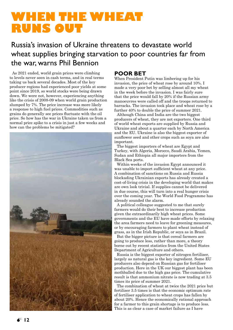# **WHEN THE WHEAT RUNS OUT**

## Russia's invasion of Ukraine threatens to devastate world wheat supplies bringing starvation to poor countries far from the war, warns Phil Bennion

As 2021 ended, world grain prices were climbing to levels never seen in cash terms, and in real terms taking us back several decades. Most of the key producer regions had experienced poor yields at some point since 2019, so world stocks were being drawn down. We were not, however, experiencing anything like the crisis of 2008-09 when world grain production slumped by 7%. The price increase was more likely a response to high fuel prices. Commodities such as grains do generally see prices fluctuate with the oil price. So how has the war in Ukraine taken us from a normal price spike to a crisis in just a few weeks and how can the problems be mitigated?



#### **POOR BET**

When President Putin was limbering up for his invasion, the price of wheat rose by around 10%. I made a very poor bet by selling almost all my wheat in the week before the invasion. I was fairly sure that the price would fall by 20% if the Russian army manoeuvres were called off and the troops returned to barracks. The invasion took place and wheat rose by a further 40% to double the price of summer 2021.

Although China and India are the two biggest producers of wheat, they are not exporters. One third of world wheat exports are supplied by Russia and Ukraine and about a quarter each by North America and the EU. Ukraine is also the biggest exporter of sunflower seed and other crops such as soya are also important.

The biggest importers of wheat are Egypt and Turkey, with Algeria, Morocco, Saudi Arabia, Yemen, Sudan and Ethiopia all major importers from the Black Sea ports.

Within weeks of the invasion Egypt announced it was unable to import sufficient wheat at any price. A combination of sanctions on Russia and Russia blockading Ukrainian exports has already created a cost-of-living crisis in the developing world that makes are own look trivial. If supplies cannot be delivered in due course, this will turn into a real hunger crisis over the coming year. The World Food Programme has already sounded the alarm.

A political colleague suggested to me that surely farmers would do their best to increase production given the extraordinarily high wheat prices. Some governments and the EU have made efforts by relaxing the area farmers need to leave for greening measures, or by encouraging farmers to plant wheat instead of grass, as in the Irish Republic, or soya as in Brazil.

But the bigger picture is that cereal farmers are going to produce less, rather than more, a theory borne out by recent statistics from the United States Department of Agriculture and others.

Russia is the biggest exporter of nitrogen fertiliser, largely as natural gas is the key ingredient. Some EU producers also depend on Russian gas for fertiliser production. Here in the UK our biggest plant has been mothballed due to the high gas price. The cumulative result is that ammonium nitrate is now trading at 3.5 times its price of summer 2021.

The combination of wheat at twice the 2021 price but fertiliser 3.5 times is that the economic optimum rate of fertiliser application to wheat crops has fallen by about 20%. Hence the economically rational approach for a farmer to this grain shortage is to produce less. This is as clear a case of market failure as I have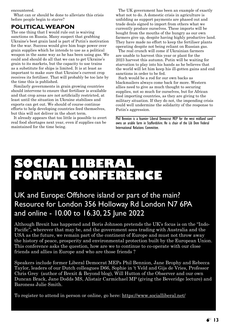encountered.

What can or should be done to alleviate this crisis before people begin to starve?

#### **POLITICAL WEAPON**

The one thing that I would rule out is waiving sanctions on Russia. Many suspect that grabbing Ukraine's best grain land is part of Putin's motivation for the war. Success would give him huge power over grain supplies which he intends to use as a political weapon in the same way as he has been using gas. We could and should do all that we can to get Ukraine's grain to its markets, but the capacity to use trains as a substitute for ships is limited. It is at least as important to make sure that Ukraine's current crop receives its fertiliser. That will probably be too late by the time this is published.

Similarly governments in grain growing countries should intervene to ensure that fertiliser is available and that crop areas are not artificially restricted, at least until the situation in Ukraine stabilises and exports can get out. We should of course continue efforts to help developing countries feed themselves, but this will not deliver in the short term.

It already appears that too little is possible to avert real food shortages next year, even if supplies can be maintained for the time being.

The UK government has been an example of exactly what not to do. A domestic crisis in agriculture is unfolding as support payments are phased out and trade deals signed to import from others what we currently produce ourselves. These imports will be bought from the mouths of the hungry as our own farmers give up, despite having highly productive land. They have made no effort to keep the fertiliser plants operating despite not being reliant on Russian gas.

The real crunch will come if Ukrainian farmers are unable to harvest this year or plant for the 2023 harvest this autumn. Putin will be waiting for starvation to play into his hands as he believes that the world will let him keep his ill-gotten gains and end sanctions in order to be fed.

Such would be a rod for our own backs as blackmailers always come back for more. Western allies need to give as much thought to securing supplies, not so much for ourselves, but for African food importing countries, as they are giving to the military situation. If they do not, the impending crisis could well undermine the solidarity of the response to Putin's aggression.

Phil Bennion is a foamier Liberal Democrat MEP for the west midland sand owns an arable farm in Staffordshire. He is chair of the Lib Dem Federal International Relations Committee.

# **SOCIAL BERTHERAL LIBERAL LIBERAL LIBERAL LIBERAL LIBERAL LIBERAL LIBERAL LIBERAL LIBERAL LIBERAL LIBERAL LIBERAL LIBERAL LIBERAL LIBERAL LIBERAL LIBERAL LIBERAL LIBERAL LIBERAL LIBERAL LIBERAL LIBERAL LIBERAL LIBERAL LIBE FORUM CONFERENCE**

## UK and Europe: Offshore island or part of the main? Resource for London 356 Holloway Rd London N7 6PA and online - 10.00 to 16.30, 25 June 2022

Although Brexit has happened and Boris Johnson pretends the UK's focus is on the "Indo-Pacific", wherever that may be, and the government sees trading with Australia and the USA as the future, we remain part of the continent of Europe and must not throw away the history of peace, prosperity and environmental protection built by the European Union. This conference asks the question, how are we to continue to co-operate with our close friends and allies in Europe and who are those friends ?

Speakers include former Liberal Democrat MEPs Phil Bennion, Jane Brophy and Rebecca Taylor, leaders of our Dutch colleagues D66, Sophie in 't Veld and Gijs de Vries, Professor Chris Grey (author of Brexit & Beyond blog), Will Hutton of the Observer and our own Duncan Brack, Jane Dodds MS, Alistair Carmichael MP (giving the Beveridge lecture) and Baroness Julie Smith.

To register to attend in person or online, go here: <https://www.socialliberal.net/>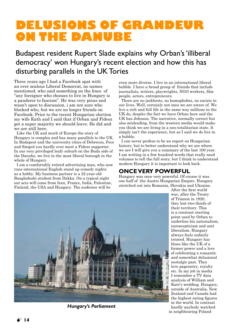# **DELUSIONS OF GRANDEUR ON THE DANUBE**

## Budapest resident Rupert Slade explains why Orban's 'illiberal democracy' won Hungary's recent election and how this has disturbing parallels in the UK Tories

Three years ago I had a Facebook spat with an over zealous Liberal Democrat, no names mentioned, who said something on the lines of "any foreigner who chooses to live in Hungary is a panderer to fascism". He was very pious and wasn't open to discussion. i am not sure who blocked who, but we are no longer friends on Facebook. Prior to the recent Hungarian election my wife Kath and I said that if Orban and Fidesz get a super majority we should leave. He did and we are still here.

Like the UK and much of Europe the story of Hungary is complex and has many parallels to the UK. In Budapest and the university cities of Debrecen, Pecs and Szeged you hardly ever meet a Fidesz supporter. In our very privileged leafy suburb on the Buda side of the Danube, we live in the most liberal borough in the whole of Hungary.

I am a comfortably retired advertising man, who now runs international English stand up comedy nights as a hobby. My business partner is a 22-year-old Bangladeshi student from Dakka. On a typical night our acts will come from Iran, France, India, Palestine, Finland, the USA and Hungary. The audience will be

even more diverse. I live in an international liberal bubble. I have a broad group of friends that include journalists, writers, playwrights, NGO workers, film people, actors, entrepreneurs.

There are no jackboots, no homophobes, no racists in our lives. Well, certainly not ones we are aware of. We live a rich and full life in the same way millions in the UK do, despite the fact we have Orban here and the UK has Johnson. The narrative, normally correct but also misleading, from the western media would make you think we are living in a neo-totalitarian state. It simply isn't the experience, but as I said we do live in a bubble.

I can never profess to be an expert on Hungarian history, but to better understand why we are where we are I will give you a summary of the last 100 year. I am writing in a few hundred words that really need volumes to tell the full story, but I think to understand modern Hungary it is important to look back.

#### **ONCE VERY POWERFUL**

Hungary was once very powerful. Of course it was one half of the Austro Hungarian Empire. Hungary stretched out into Romania, Slovakia and Ukraine.



*Hungary's Parliament*

After the first world war, after the Treaty of Trianon in 1920, they lost two-thirds of their territory. This is a constant starting point used by Orban to underline his nationalism, euroscepticism and anti liberalism. Hungary always feels unfairly treated. Hungary has blues like the UK of a former power and a love of celebrating a romantic and somewhat delusional nostalgic past. They love pageantry, royalty etc. In my job in media I remember a TV data analysis of William and Kate's wedding. Hungary, outside of Australia, New Zealand and Canada had the highest rating figures in the world. In contrast hardly anybody watched in neighbouring Poland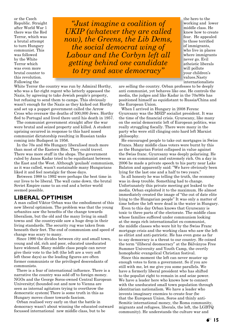or the Czech Republic. Straight after World War 1 there was the Red Terror, which was a brutal attempt to turn Hungary communist. This was followed by the White Terror which was even more brutal counter to this revolution. Following the

*"Just imagine a coalition of UKIP (whatever they are called now), the Greens, the Lib Dems, the social democrat wing of Labour and the Corbyn left all getting behind one candidate to try and save democracy"*

White Terror the country was run by Admiral Horthy, who was a far-right regent who latterly appeased the Nazis, by agreeing to take Jewish people's property, but refusing to send them to camps. This obviously wasn't enough for the Nazis as they kicked out Horthy and set up a puppet government called the Arrow Cross who oversaw the deaths of 500,000 Jews. Horthy fled to Portugal and lived there until his death in 1957.

The communist government straight after the war were brutal and seized property and killed. A student uprising occurred in response to this hard nosed communist dictatorship resulting in Russian tanks coming into Budapest in 1956.

In the 70s and 80s Hungary liberalised much more than most of the Eastern Bloc. They could travel. There was more stuff in the shops. The government ruled by Janos Kadar tried to be equidistant between the East and the West. Although 'goulash' communism, as it was called, wasn't sustainable many Hungarians liked it and feel nostalgic for those days.

Between 1988 to 1992 were perhaps the best time in our lives to be liberal. The wall came down. the brutal Soviet Empire came to an end and a better world seemed possible.

#### **LIBERAL OPTIMISM**

A man called Viktor Orban was the embodiment of this new liberal optimism. The problem was that the young urbanites saw the benefits of the change towards liberalism, but the old and the many living in small towns and the countryside saw a huge drop in their living standards. The security rug was taken from beneath their feet. The end of communism and speed of change was scary to many.

Since 1990 the divides between city and small town, young and old, rich and poor, educated uneducated have widened. Many middle class people can never give their vote to the left (the left are a very soft left these days) as the leading figures are often former communists or the privileged descendants of communists.

There is a fear of international influence. There is a narrative the country was sold off to foreign money. NGOs and the George Soros-owned Central European University( (hounded out and now to Vienna are seen as internal agitators trying to overthrow the democratic system( There is some truth in this as Hungary moves closer towards fascism.

Orban realised very early on that the battle in democracy wasn't about winning the educated outward focussed international new middle class, but to be

the hero to the working and lower middle class. He knew how to create fear. He appealed to those terrified of immigrants, who live in places where immigrants never go. Evil atheistic liberals will pollute your children's values.Nasty internationalists

are selling the country. Orban professes to be deeply anti communist, yet behaves like one. He controls the media, the judges and like Kadar in the 70s/80s has positioned himself as equidistant to Russia/China and the European Union.

When I arrived in Hungary in 2008 Ferenc Gyurcsany was the MSZP socialist president. It was the time of the financial crisis. Gyurscany, like many on the social democratic left of European politics, was really struggling fiscally. There were many in the party who were still clinging onto hard left Marxist philosophy.

He encouraged people to take out mortgages in Swiss Francs. Many middle class voters were burnt by this as the Hungarian Forint collapsed in value against the Swiss franc. Gyurcsany was deeply polarising. He was an ex-communist and extremely rich. On a day in 2006 he made a private speech to his party near Lake Balaton and apparently said: "We have obviously been lying for the last one and a half to two years."

In all honesty he was telling the truth, the economy was in deep trouble. Something had to change. Unfortunately this private meeting got leaked to the media. Orban exploited it to the maximum. He almost immediately created the image of "the out of date elite lying to the Hungarian people" It was only a matter of time before the left were dead in the water in Hungary.

Even to this day Orban knows that Gyurscany is toxic to three parts of the electorate. The middle class whose families suffered under communism looking at the mega rich internationalist ex-communist, the middle classes who were hit by the Swiss Franc mortgage crisis and the working class who saw the left as elitist and anti-patriotic. He has even gone as far to say democracy is a threat to our country. He coined the term "illiberal deomocracy" at the Bálványos Free Summer University and Youth Camp, the overtly homophobic evangelical Christian festival.

Since this moment the left can never muster up enough votes to form a government. So if you are still with me, let me give you some parallels. We have a formerly liberal president who has shifted to the populist right to remain in and seize power. We have a leader here who knows how to connect with the uneducated small town population through identitarian nationalism. We have a leader who invents imaginary enemies to create fear (be that the European Union, Soros and thinly anti-Semitic international money, the Roma community, migrants and refugees, liberals, the left, the LGBTQ community). He understands the culture war and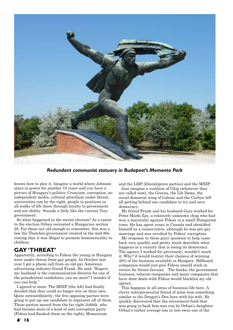

*Redundant communist statuary in Budapest's Memento Park*

knows how to play it. Imagine a world where Johnson stays in power for another 10 years and you have a picture of Hungary's politics: Cronyism, corruption, no independent media, cultural pluralism under threat, universities run by the right, people in positions in all walks of life there through loyalty to government and not ability. Sounds a little like the current Tory government.

So what happened in the recent election? As a taster to the election Orban recreated a Hungarian section 28. For those not old enough to remember, this was a law the Thatcher government created in the mid-80s stating that it was illegal to promote homosexuality to children.

#### **GAY 'THREAT'**

Apparently, according to Fidesz the young in Hungary were under threat from gay people. In October last year I got a phone call from an old gay American advertising industry friend Frank. He said: "Rupert, my husband is the communication director for one of the presidential candidates, can we meet? I wonder if you can help."

I agreed to meet. The MSZP (the left) had finally decided that they could no longer win on their own. Quite extraordinarily, the five opposing parties were going to put up one candidate to represent all of them. Those parties moved from the far right Jobbik, who had become more of a kind of anti corruption party (Fidesz had flanked them on the right), Momentum

and the LMP (liberal/green parties) and the MSZP.

Just imagine a coalition of Ukip (whatever they are called now), the Greens, the Lib Dems, the social democrat wing of Labour and the Corbyn left all getting behind one candidate to try and save democracy.

My friend Frank and his husband Gary worked for Peter Marki Zay, a relatively unknown chap who had won a mayoralty against Fidesz in a small Hungarian town. He has spent years in Canada and identified himself as a conservative, although he was pro gay marriage and was revolted by Fidesz' corruption.

My response to these guys' question to help came back very quickly and pretty much describes what happens in a country that is losing its democracy. The agency I worked for previously, wouldn't touch it. Why? it would restrict their chances of winning 40% of the business available in Hungary. Billboard companies would just give Fidesz unsold stock in return for future favours. The banks, the government business, telecom companies and many companies that have done deals with Fidesz would blacklist my old agency.

This happens in all areas of business life here. A clever entrepreneurial friend of mine won something similar to the Dragon's Den here with his wife. He quickly discovered that the investment fund that was going to back him was run by Orban's daughter. Orban's rather average son in law owns one of the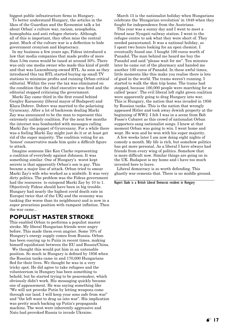biggest public infrastructure firms in Hungary.

To better understand Hungary, the articles in the likes of the Guardian and the Economist talk a lot about Orban' s culture war, racism, xenophobia, homophobia and anti refugee rhetoric. Although all of this is important, they often miss the central point. Much of the culture war is a deflection to hide government cronyism and kleptocracy.

In my business a few years ago, Fidesz introduced a law that media companies that made profits of more than 5.0m euros would be taxed at around 50%. There was only one media owner who made this kind of profit and that was Luxembourg-owned RTL. As soon as they introduced this tax RTL started buying up small TV stations to minimise profits and running Orban critical editorial. Within the year the tax was eliminated on the condition that the chief executive was fired and the editorial stopped criticising the government.

Marki Zay came third in the first round behind Gergley Karascony (liberal mayor of Budapest) and Klara Dobrev. Dobrev was married to the polarising Gyurscany. After a lot of backroom dealing Marki Zay was announced to be the man to represent this extremely unlikely coalition. For the next few months the internet was bombarded with messages calling Marki Zay the puppet of Gyurcszany. For a while there was a feeling Marki Zay might just do it or at least get rid of the super majority. The coalition voting for an 'honest' conservative made him quite a difficult figure to attack.

Imagine someone like Ken Clarke representing a coalition of everybody against Johnson. It was something similar. One of Hungary's worst kept secrets is that apparently Orban's son is gay. This became a major line of attack. Orban tried to smear Marki Zay's wife who worked as a midwife. It was very dirty politics. The problem was the Fidesz government had the resources to outspend Marki Zay by 10 to 1. Objectively Fidesz should have been in big trouble. Hungary had nearly the highest covid death rate in Europe( twice that of the UK) and the economy was tanking (far worse than its neighbours) and is now in a super precarious position with rampant inflation. Then the war came...

#### **POPULIST MASTER STROKE**

This enabled Orban to performa a populist master stroke. My liberal Hungarian friends were angry before. This made them even angrier. Some 70% of Hungary's energy supply comes from Russia. Orban has been cosying up to Puiin in recent times, making himself equidistant between the EU and Russia/China.

We thought this would put him in an untenable position. So much in Hungary is defined by 1956 when the Russian tanks came in and 170,000 Hungarians fled for their lives. We thought he was in a very tricky spot. He did agree to take refugees and the volunteerism in Hungary has been something to behold, but he started trying to be peacemaker, which obviously didn't work. His messaging quickly became one of appeasement. He was saying something like "We will not provoke Putin by letting weapons come through our land. I will keep your sons safe from war" and "the left want to drag us into war". His implication was pretty much backing up Putin's propaganda machine. The west were inherently aggressive and Nato had provoked Russia to invade Ukraine.

March 15 is the nationalist holiday when Hungarians celebrate the 'Hungarian revolution' in 1848 when they fought for independence from the Austrians.

This year was a sunny day and I went to meet a friend near Nyugati railway station. I went to the refugee centre to ask what they were short of. They needed paracetamol. It was a national holiday, so I spent two hours looking for an open chemist. I eventually found one. I bought 100 euros worth of Panadol. The man behind me heard me buy the Panadol and said "please wait for me". Ten minutes later he came out of the pharmacy and handed me another 100 euros of Panadol. In these awful times, little moments like this make you realise there is lots of good in the world. The trams weren't running. I started to walk the 4km trip home. The trams had stopped, because 100,000 people were marching for so called 'peace'. The evil liberal left right green coalition were apparently going to drag Hungary into war. This is Hungary, the nation that was invaded in 1956 by Russian tanks. This is the nation that wrongly appeased Hitler and took away Jewish property at the beginning of WW2. I felt I was in a scene from Bob Fosse's Cabaret as this crowd of nationalist Orban supporters sang nationalist songs. I knew at that moment Orban was going to win. I went home and wept. He won and he won with his super majority.

A few weeks later I am now doing eight nights of comedy a month. My life is rich, but somehow politics has got more personal. As a liberal I have always had friends from every wing of politics. Somehow that is more difficult now. Similar things are going on in the UK. Budapest is my home and i have too much invested here to leave.

Liberal democracy is so worth defending. This ghastly war cements that. There is no middle ground.

Rupert Slade is a British Liberal Democrat resident in Hungary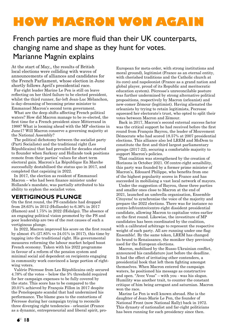# **HOW MACRON WON AGAIN**

## French parties are more fluid than their UK counterparts, changing name and shape as they hunt for votes. Marianne Magnin explains

At the start of May,, the results of British local elections were colliding with waves of announcements of alliances and candidates for the French Parliament, whose election in June shortly follows April's presidential race.

Far-right leader Marine Le Pen is still on leave reflecting on her third failure to be elected president, whilst the third runner, far-left Jean-Luc Mélanchon, is day-dreaming of becoming prime minister to Emmanuel Macron's second term government.

What are the deep shifts affecting French political waters? How did Macron manage to be re-elected, the first time for a French president since Mitterrand in 1988? What is looming ahead with the MP elections in June1? Will Macron conserve a governing majority at the National Assembly?

The political dichotomy between the socialist party (Parti Socialiste) and the traditional right (Les Républicains) that had prevailed for decades started to flounder when Sarkozy and Hollande took positions remote from their parties' values for short term electoral gain. Macron's La République En Marche successfully destabilised the status quo in 2017, and completed that capsizing in 2022.

In 2017, the election as resident of Emmanuel Macron – who had been finance minister under Hollande's mandate, was partially attributed to his ability to syphon the socialist votes.

#### **VERTIGINOUS PLUNGE**

On the first round, the PS candidate had dropped from 28.63% in 2012 (Hollande) to 6.36% in 2017 (Hamon) and 1.75% in 2022 (Hidalgo). The absence of an engaging political vision promoted by the PS and poor leadership are two of the root causes of such a vertiginous plunge.

In 2022, Macron improved his score on the first round by almost 4% (27.85% vs 24.01% in 2017), this time by tapping into the traditional right. His governmental measures reforming the labour market helped boost French economy. Taken with his 2022 programme in favour of a reform of the pension system and minimal social aid dependent on recipients engaging in community work convinced a large portion of rightwing voters.

Valérie Pécresse from Les Républicains only secured 4.78% of the votes – below the 5% threshold required for her campaign expenses to be fully covered by the state. This score has to be compared to the 20.01% achieved by François Fillon in 2017 despite the Penelopegate scandal that had undermined his performance. The blame goes to the contortions of Pécresse during her campaign trying to reconcile three diverging right tendencies - orleanist (France as a dynamic, entrepreneurial and liberal spirit, pro-

European for meta-order, with strong institutions and moral ground), legitimist (France as an eternal entity, with cherished traditions and the Catholic church at its core) and napoleonist (France as a grand nation and global player, proud of its Republic and meritocratic education system). Pécresse's unreconcilable posture was further undermined by strong alternative political propositions, respectively by Macron (orleanist) and new-comer Zémour (legitimist). Having alienated the orleanists by trying to retain legitimists, Pecresse squeezed her electorate's trust, who opted to split their votes between Macron and Zémour.

Back in 2017, Macron's second external success factor was the critical support he had received before the first round from François Bayrou, the leader of Mouvement Démocrate who had scored 18.57% at 2007 presidential elections. This alliance also led LREM and MoDem to constitute the first and third largest parliamentary groups (2017-22), securing a comfortable majority to support Macron's policies.

That coalition was strengthened by the creation of Horizons in October 2021. Of centre-right sensibility, this party was founded by a former prime minister of Macron's, Edouard Philippe, who benefits from one of the highest popularity scores in France and has succeeded in mobilising a vast local network of mayors.

Under the suggestion of Bayrou, these three parties and smaller ones close to Macron at the end of 2021, launched an umbrella organisation, Ensemble Citoyens! to synchronise the voice of the majority and prepare the 2022 elections. There was for instance no centre-left/centre/centre-right dissident presidential candidate, allowing Macron to capitalise votes earlier on the first round. Likewise, the investiture of MP candidates has been coordinated by the coalition, with a calibrated arbitrage to represent the respective weight of each party. All are running under one flag: Ensemble!. By the same token, LREM has changed its brand to Renaissance, the moniker they previously used for the European elections.

Macron, mobilised by the Russo-Ukrainian conflict, announced his candidature just before the deadline. It had the effect of irritating other contenders, a presidential hook that left them fighting amongst themselves. When Macron entered the campaign waters, he positioned his message as constructive and open. "Avec Vous" – with you - was his slogan. Humility was another trait, to counter the constant critique of him being arrogant and saturnian. Macron won the race.

Marine Le Pen is well known abroad. She is the daughter of Jean-Marie Le Pen, the founder of National Front (now National Rally) back in 1972. This dynasty of nationalist and far-right politicians has been running for each presidency since then.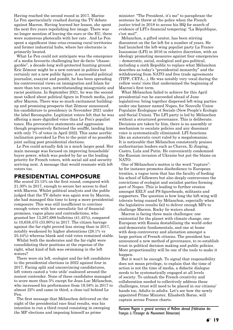Having reached the second round in 2017, Marine Le Pen spectacularly crashed during the TV debate against Macron. Having learned her lesson, she spent the next five years repolishing her image. There was no longer mention of leaving the euro or the EU, there were numerous photocalls with her cats . And Le Pen spent a significant time criss-crossing rural territories and former industrial hubs, where her electorate is primarily located.

What Le Pen could not anticipate was the emergence of a media favourite challenging her de-facto "chassegardée", a decade-long well-protected hunting ground. Éric Zémour might be a new entrant in politics but certainly not a new public figure. A successful political journalist, essayist and pundit, he has been spreading his controversial views on immigration and Islam for more than ten years, notwithstanding misogynistic and racist positions. In September 2021, he was the second most talked about political figure in French media, just after Macron. There was so much excitament buildingup and promising prospects that Zémour announced his candidature to presidency in November 2021 under the label Reconquête. Legitimist voters felt that he was offering a more dignified voice than Le Pen's populist tones. His provocative statements and aggression though progressively flattened the soufflé, landing him with only 7% of votes in April 2022. This same acerbic inclination provoked Le Pen to the point of no possible joint sailing post presidential elections.

Le Pen could actually fish in a much larger pond. Her main message was focused on improving households' buyer power, which was pooled by far as the leading priority for French voters, with social aid and security arriving next. A message that would resonate with left voters too.

#### **PRESIDENTIAL COMPOSURE**

She scored 23.15% on the first round, compared with 21.30% in 2017, enough to secure her access to duel with Macron. Whilst political analysts and the public judged that the TV debate was again won by Macron, she had managed this time to keep a more presidential composure. This was still insufficient to convince enough voters with her unrealistic list of financial promises, vague plans and contradictions, who granted her 13,287,688 bulletins (41.45%), compared to 10,638,475 (33.90%) in 2017. The citizen barrage against the far-right proved less strong than in 2017, notably weakened by higher abstentions (28.1% vs 25.44%) whereas blank and void votes remained stable.

Whilst both the moderates and the far-right were consolidating their positions at the expense of the right, what kind of fish was swimming in the left waters?

There were six left, ecologist and far-left candidates to the presidential elections in 2022 against four in 2017. Facing split and unconvincing candidatures, left voters casted a 'vote utile' coalesced around the nosiest contender. None of these candidates managed to score more than 5% except for Jean-Luc Mélanchon, who increased his performance from 19.58% in 2017 to almost 22% and came in third, a close tail behind Le Pen.

The first message that Mélanchon delivered on the night of the presidential race final results, was his intention to run a third round consisting in sweeping the MP elections and imposing himself as prime

minister: "The President, it's me" to paraphrase the sentence he threw at the police when the French justice tried in 2018 to access his HQ for search of evidence of LFI's financial tempering: "La République, c'est moi!".

Mélanchon, a gifted orator, has been stirring discontent on the far-left for a number of years. He had launched the left-wing populist party La France Insoumise (LFI) in 2016 in relative discretion, with an ideology promoting measures against four emergencies – democratic, social, ecological and geo-political, including a sixth Republic to replace what Mélanchon describes as today's "presidential monarchy" and the withdrawing from NATO and free trade agreements (TIPP, CETA…). He was notably very vocal during the yellow vests' riots that undermined the beginning of Macron's first term.

What Mélanchon failed to achieve for this April presidential run he succeeded ahead of June legislatives: bring together dispersed left-wing parties under one banner named Nupes, for Nouvelle Union Populaire Écologique et Sociale (New People's Ecologic and Social Union). The LFI party is led by Mélanchon without a structured governance. This is deliberate. Decisions are taken by him, there is no assembly or mechanism to escalate policies and any dissonant voice is systematically eliminated. LFI functions like an autocratic court ruled by a megalomaniac. It is noticeable that Mélanchon consistently praises authoritarian leaders such as Chavez, Xi Jinping, Castro, Lula and Putin. He conveniently condemned the Russian invasion of Ukraine but put the blame on NATO.

One of Mélanchon's mottos is the word "rupture": he for instance promotes disobedience to European treaties, a vague term that has the faculty of feeding his school of followers but also deeply contravenes the convictions of ecologist and socialist parties forming part of Nupes. This is leading to further erosion amongst EELV and PS figureheads, militants and supporters. The question is how long the left-wing will tolerate being coaxed by Mélanchon, especially when the legislative results fail to deliver enough MPs to challenge Macron. Rocky lie waters ahead.

Macron is facing three main challenges: one existential for the planet with climate change, one European with Russia destabilising the world order and democratic fundamentals, and one at home with deep controversy and alienation amongst a large portion of French citizens. The president has announced a new method of governance, to re-establish trust in political decision making and public policies. More proportionality will be one of the tools to make it happen.

But it won't be enough. To signal that responsibility does not mean privilege, to explain that the time of action is not the time of media, a didactic dialogue needs to be systematically engaged at all levels of society. To unleash the French creativity and collaboration needed to collectively address these challenges, trust will need to be placed in our citizens' hands too. Adults to adults. Let's see how the newly appointed Prime Minister, Elisabeth Borne, will captain across France charts.

Marianne Magnin is general secretary of MoDem abroad (Fédération des Français à l'Étranger du Mouvement Démocrate)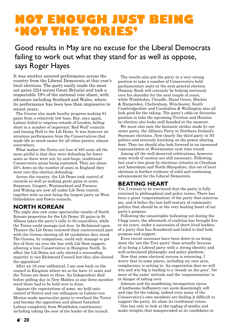# **NOT ENOUGH JUST BEING 'NOT THE TORIES'**

## Good results in May are no excuse for the Liberal Democrats failing to work out what they stand for as well as oppose, says Roger Hayes

It was another assured performance across the country from the Liberal Democrats at this year's local elections. The party easily made the most net gains (224 across Great Britain) and took a respectable 19% of the national vote share, with advances including Scotland and Wales, where its performance has been less than impressive in recent years.

The Greens also made heathy progress making 81 gains from a relatively low base. But, once again, Labour failed to impress outside of London, falling short in a number of important 'Red Wall' councils and loosing Hull to the Lib Dems. It was however an atrocious performance from the Conservatives that made life so much easier for all other parties, almost everywhere.

What makes the Tories net loss of 485 seats all the more pitiful is that they were defending far fewer seats as these were not, by-and-large, traditional Conservative areas being contested. They are about 25% down on the number of seats in England they went into this election defending.

Across the country, the Lib Dems took control of councils as well as making great gains in seats. Somerset, Gosport, Westmorland and Furness and Woking are now all under Lib Dem control, together with us now being the largest party on West Oxfordshire and Powys councils.

#### **NORTH KOREAN**

The night also saw some spectacular results of North Korean proportion for the Lib Dems: 20 gains in St Albans takes the party's tally to 50 councillors, while the Tories could manage just four. In Richmond-upon-Thames the Lib Dems renewed their controversial pact with the Greens electing all 48 candidates they stood. The Greens, by comparison, could only manage to get five of their six over the line with Lib Dem support, allowing a lone Conservative in Hampton North. In effect the Lib Dems not only elected a resounding majority to run Richmond Council but they also elected the opposition!

After an 18-year sabbatical, I am now back on the council in Kingston where we so far have 41 seats and the Tories are down to three. An Independent died before polling day in New Malden so one three-member ward there had to be held over to June.

Against the expectations of some, we held onto control of Sutton and our colleagues in Labour-run Merton made spectacular gains to overhaul the Tories and become the opposition and almost banished Labour completely from Wimbledon constituency including taking the seat of the leader of the council.

The results also put the party in a very strong position to take a number of Conservative-held parliamentary seats at the next general election. Dominic Raab will certainly be looking nervously over his shoulder for the next couple of years, while Wimbledon, Cheadle, Hazel Grove, Hitchin & Harpenden, Cheltenham, Winchester, South Cambridgeshire and Carshalton & Wallington also all look good for the taking. The party's odds-on favourite position to take the upcoming Tiverton and Honiton by-election also looks well founded at the moment.

We must also note the fantastic strides made by our sister party, the Alliance Party in Northern Ireland's Stormont elections. Now clearly the third party in NI politics and seriously knocking on the power-sharing door. They too should also look forward to an increased representation at Westminster next time round.

Among all the well-deserved celebrations, however, some words of caution are still necessary. Following last year's two great by-elections victories in Chesham and Amersham and North Shropshire, this set of local elections is further evidence of solid and continuing advancement for the Liberal Democrats.

#### **BEATING HEART**

Yet, I remain to be convinced that the party is fully returned in philosophical and policy terms. There has been a great 'corporatisation' of the party that concerns me, and it belies the last half-century of community politics that should be at the very beating heart of our party's purpose.

Following the catastrophic hollowing out during the Clegg years, the aftermath of coalition has brought five or six years, under a succession of short-lived leaders, of a party that has floundered and failed to find both purpose and support.

Even recent successes have been down to us being more the 'not-the-Tory-party' than actually because of us being a Liberal party with a strong identity and well-articulated philosophy and policy platform.

Now that some electoral success is returning, I worry that in some places, including my own area, complacency is setting in. An expectation that we will win and win big is leading to a 'steady as she goes', 'bit more of the same' attitude and the 'corporatisation' is in danger of taking over.

Johnson and his maddening incompetent circus of loathsome buffoonery can seem disarmingly soft and ripe for the taking, indeed even many of the Conservative's own members are finding it difficult to support the party, let alone its traditional voters.

One has only to look at the ragbag of misfits and make-weights that masqueraded as its candidates in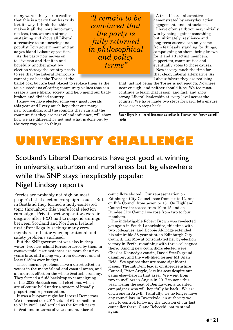many wards this year to realise that this is a party that has truly lost its way. I think that this makes it all the more important, not less, that we are a strong, sustaining and above all Liberal alternative to an uncaring and populist Tory government and an as yet bland Labour opposition.

As the party now moves on to Tiverton and Honiton and hopefully another great byelection victory the country needs to see that the Liberal Democrats cannot just beat the Tories at the

ballot box, but are best placed to replace them as the true custodians of caring community values that can create a more liberal society and help mend our badly broken and divided country.

I know we have elected some very good liberals this year and I very much hope that our many new councillors, and the councils they run and the communities they are part of and influence, will show how we are different by not just what is done but by the very way we do things.

*"I remain to be convinced that the party is fully returned in philosophical and policy terms"*

A true Liberal alternative demonstrated by everyday action, engagement, and enthusiasm.

I have often said: you may initially win by being against something but, ultimately, resilience and long-term success can only come from fearlessly standing for things, campaigning on them, being known for it and attracting members, supporters, communities and eventually votes to those causes. Now is very much the time for that clear, Liberal alternative. As Labour falters they are realising

that just not being the Tories is not enough. Nowhere near enough, and neither should it be. We too must continue to learn that lesson, and fast, and show strong Liberal leadership at every level across the country. We have made two steps forward, let's ensure there are no steps back.

Roger Hayes is a Liberal Democrat councillor in Kingston and former council leader

# **UNIVERSITY CHALLENGE**

## Scotland's Liberal Democrats have got good at winning in university, suburban and rural areas but lag elsewhere while the SNP stays inexplicably popular. Nigel Lindsay reports

Ferries are probably not high on most people's list of election campaign issues. But in Scotland they formed a hotly-contested topic throughout this year's local election campaign. Private sector operators were in disgrace after P&O had to suspend sailings between Scotland and Northern Ireland, first after illegally sacking many crew members and later when operational and safety problems surfaced.

But the SNP government was also in deep water: two new island ferries ordered by them in controversial circumstances are more than five years late, still a long way from delivery, and at least £150m over budget.

These marine problems have a direct effect on voters in the many island and coastal areas, and an indirect effect on the whole Scottish economy. They formed a fluid backdrop to campaigning in the 2022 Scottish council elections, which are of course held under a system of broadly proportional representation.

It was a buoyant night for Liberal Democrats. We increased our 2017 total of 67 councillors to 87 in 2022, and settled as the fourth party in Scotland in terms of votes and number of

councillors elected. Our representation on Edinburgh City Council rose from six to 12, and on Fife Council from seven to 13. On Highland Council we increased from 10 to 15 and on Dundee City Council we rose from two to four members.

The indefatigable Robert Brown was re-elected yet again in South Lanarkshire, this time with two colleagues, and Dobbie Aldridge extended his admirable 38-year stint on Edinburgh City Council. Liz Mowat consolidated her by-election victory in Perth, remaining with three colleagues there. Among new councillors elected were Charles Kennedy's cousin, David Steel's granddaughter, and the well-liked former MP Alan Reid. Set against that are some significant losses. The Lib Dem leader on Aberdeenshire Council, Peter Argyle, lost his seat despite our gains elsewhere in that area. We went from two councillors in Angus in 2017 to none this year, losing the seat of Ben Lawrie, a talented campaigner who will hopefully be back. We are down one in Argyll. Painfully, we no longer have any councillors in Inverclyde, an authority we used to control, following the decision of our last councillor there, Ciano Rebecchi, not to stand again.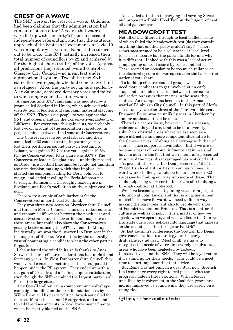#### **CREST OF A WAVE**

The SNP were on the crest of a wave. Unionists had been claiming that the administration had run out of steam after 15 years, that voters were fed up with the party's focus on a second independence referendum, and that the cautious approach of the Scottish Government on Covid-19 was unpopular with voters. None of this turned out to be true. The SNP actually increased their total number of councillors by 22 and achieved by far the highest share (34.1%) of the vote. Against all predictions they retained overall control of Glasgow City Council – no mean feat under a proportional system. Two of the new SNP councillors were people who had come to Scotland as refugees. Alba, the party set up as a spoiler by Alex Salmond, achieved derisory votes and failed to win a single council seat anywhere.

A vigorous anti-SNP campaign was mounted by a group called Scotland in Union, which achieved wide distribution of leaflets and campaign material slagging off the SNP. They urged people to vote against the SNP and Greens, and for the Conservatives, Labour, or LibDems. For every vote this gained us, we probably lost two on account of the association it produced in people's minds between Lib Dems and Conservatives.

The Conservatives listed to starboard and then sank, losing 63 council seats. Importantly, they lost their position as second party in Scotland to Labour, who gained 21.7 of the vote against 19.6% for the Conservatives. (Our share was 8.6%.) The Conservative leader Douglas Ross – unkindly mocked as Dross - is a football linesman but could not maintain the firm decision-making which that implies. He started the campaign calling for Boris Johnson to resign, and ended it calling for Boris Johnson not to resign. Johnson is a thoroughly toxic figure in Scotland, and Ross's vacillation on the subject cost him dear.

There were a couple of safe harbours for the Conservatives in north-east Scotland.

They won three new seats on Aberdeenshire Council, and three on Moray Council. This may reflect cultural and economic differences between the north-east and central Scotland and the lower Remain majorities in these areas, but could also show the Conservatives getting better at using the STV system. In Moray, incidentally, we won the first-ever Lib Dem seat in the fishing port of Buckie. We did this by the dastardly ruse of nominating a candidate when the other parties forgot to do so.

Labour found the wind in its sails thanks to Anas Sarwar, the first effective leader it has had in Scotland for many years. In West Dunbartonshire Council they won overall control, something that isn't supposed to happen under the PR system. They ended up with a net gain of 20 seats and a feeling of quiet satisfaction, even though the SNP remained the largest party in all four of the large cities.

Alex Cole-Hamilton ran a competent and shipshape campaign, building on the firm foundations set by Willie Rennie. His party political broadcast called for more staff for schools and GP surgeries, and an end to rail fare rises and cuts in local government finance, which he rightly blamed on the SNP.

Alex called attention to partying in Downing Street and proposed a 'Robin Hood Tax' on the huge profits of oil and gas companies.

#### **MEADOWCROFT TEST**

Not all of this filtered through to local leaflets, some of which failed the Meadowcroft test (do they contain anything that another party couldn't say?). There sometimes seemed to be a reluctance at local level to be clear about what the party stands for and why it is different. Linked with this was a lack of active campaigning on local issues by some candidates. There seemed on occasion to be too much reliance on the electoral system delivering seats on the back of the national vote share.

To build up effective council groups we shall need more candidates to get involved at an early stage and build identification between their names and action on issues that matter in the seats they contest. An example has been set in the Almond ward of Edinburgh City Council. In this part of Alex's constituency, we won three of the four available seats. Desmond Bouse won an unlikely seat in Aberdeen by similar methods. It can be done.

There is a deeper issue, however. Our successes, welcome as they all are, tend to be in university, suburban, or rural areas where we are seen as a more attractive and more competent alternative to the Conservatives. Nothing at all wrong with that, of course – such support is invaluable. But if we are to become a party of national influence again, we shall have to address the fact that we remain unrepresented in some of the most disadvantaged parts of Scotland.

At present, there is a Lib Dem presence in 15 of the 29 Scottish local authorities run on party lines. A worthwhile challenge would be to build on our 2022 successes by finding our way into more of these. That could help bring us closer to the dream of rebuilding a Lib-Lab coalition at Holyrood.

We have become good at gaining votes from people who shop at John Lewis, and that is an achievement in itself. To move forward, we need to find a way of making the party relevant also to people who shop at Poundstretcher and Primark. That is a matter of culture as well as of policy; it is a matter of how we speak, who we speak to, and who we listen to. Can we translate our wordy policies into language that appeals on the doorsteps of Coatbridge or Falkirk?

At last autumn's conference, the Scottish Lib Dems gave consideration to a strategy for the party. The draft strategy advised: "Most of all, we have to recognise the needs of voters in severely disadvantaged areas who have been neglected by Labour, Conservatives, and the SNP. They will be loyal voters if we stand up for their needs." This could be a good time to start implementing that advice.

But Rome was not built in a day. Just now, Scottish Lib Dems have every right to feel pleased with the progress made in these elections. With a leader unsullied by involvement in the Coalition years, and morale improved by sound wins, they are surely on a rising tide.

Nigel Lindsay is a former councillor in Aberdeen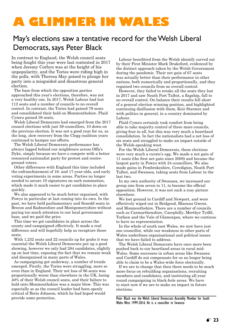# **A GLIMMER IN WALES**

## May's elections saw a tentative record for the Welsh Liberal Democrats, says Peter Black

In contrast to England, the Welsh council seats being fought this year were last contested in 2017 when Jeremy Corbyn was at the height of his unpopularity, and the Tories were riding high in the polls, with Theresa May poised to plunge her party into a misguided and disastrous general election.

The base from which the opposition parties approached this year's elections, therefore, was not a very healthy one. In 2017, Welsh Labour had lost 112 seats and a number of councils to no overall control. In contrast, the Tories had gained 79 seats and consolidated their hold on Monmouthshire. Plaid Cymru gained 38 seats,

Welsh Liberal Democrats had emerged from the 2017 council elections with just 59 councillors, 10 down on the previous election. It was not a good year for us, as the long, slow recovery from the Clegg coalition years continued to hamper our efforts.

The Welsh Liberal Democrats performance has always lagged behind our neighbours across Offa's Dyke, simply because we have o compete with a better resourced nationalist party for protest and centreground voters.

Other differences with England this time included the enfranchisement of 16- and 17-year-olds, and early voting experiments in some areas. Parties no longer needed to secure 10 signatures on each nomination, which made it much easier to get candidates in place quickly.

We also appeared to be much better organised, with Powys in particular at last coming into its own. In the past, we have held parliamentary and Senedd seats in Brecon and Radnorshire and Montgomeryshire without paying too much attention to our local government base, and we paid the price.

This time we got candidates in place across the county and campaigned effectively. It made a real difference and will hopefully help us recapture those seats.

With 1,232 seats and 22 councils up for grabs it was essential the Welsh Liberal Democrats put up a good showing, however we only had 284 candidates, slightly up on last time, exposing the fact that we remain weak and disorganised in many parts of Wales.

As campaigning got underway, a number of trends emerged. Firstly, the Tories were struggling, more so even than in England. Their net loss of 86 seats was proportionally worse than elsewhere in the UK, losing 40% of their Welsh council seats, and their failure to hold onto Monmouthshire was a major blow. This was especially so as the council leader had been openly critical of Boris Johnson, which he had hoped would provide some protection.

Labour benefitted from the Welsh identify carved out by their First Minister Mark Drakeford, evidenced by the distinct approach taken by the Welsh Government during the pandemic. Their net gain of 67 seats was actually better than their performance in other nations, both numerically and proportionally, and they regained two councils from no overall control.

However, they failed to retake all the seats they lost in 2017 and saw Neath Port Talbot, a flagship, fall to no overall control. On balance their results fell short of a general election winning position, and highlighted continuing disillusion with them, Keir Starmer and with politics in general, in a country dominated by Labour.

Plaid Cymru certainly took comfort from being able to take majority control of three more councils, giving four in all, but this was very much a heartland consolidation. In fact the nationalists had a net loss of six seats and struggled to make an impact outside of the Welsh-speaking west.

For the Welsh Liberal Democrats, these elections were very much a curate's egg. We made a net gain of 11 seats (the first net gain since 2008) and became the largest party in Powys with 24 councillors. We also made gains in Pembrokeshire, Ceredigion, Neath Port Talbot, and Swansea, taking seats from Labour in the last two.

In my own authority of Swansea, we increased our group size from seven to 11, to become the official opposition. However, it was not such a rosy picture elsewhere.

We lost ground in Cardiff and Newport, and were effectively wiped out in Bridgend, Blaenau Gwent, and Monmouthshire. There are a number of councils such as Carmarthenshire, Caerphilly, Merthyr Tydfil, Torfaen and the Vale of Glamorgan, where we continue to have no representation.

In the whole of south east Wales, we now have just one councillor, while our weakness in other parts of Wales underlines organisational and political issues that we have failed to address.

The Welsh Liberal Democrats have once more been pushed back to our heartland areas in rural mid-Wales. Some successes in urban areas like Swansea and Cardiff do not compensate for us no longer being able to claim to be a Wales-wide force electorally.

If we are to change that then there needs to be much more focus on rebuilding organisations, recruiting members and candidates, and instituting all-year round campaigning in black-hole areas. We have to start now if we are to make an impact in future elections.

Peter Black was the Welsh Liberal Democrats Assembly Member for South Wales West 1999-2016. He is a councillor in Swansea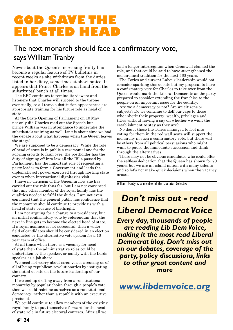# **GOD SAVE THE ELECTED HEAD**

## The next monarch should face a confirmatory vote, says William Tranby

News about the Queen's increasing frailty has become a regular feature of TV bulletins in recent weeks as she withdraws from the duties listed in her diary, sometimes at short notice. It appears that Prince Charles is on hand from the substitutes' bench at all times.

The BBC continues to remind its viewers and listeners that Charles will succeed to the throne eventually, so all these substitution appearances are appropriate training for his future role as head of state.

At the State Opening of Parliament on 10 May not only did Charles read out the Speech but prince William was in attendance to undertake the substitute's training as well. Isn't it about time we had the debate about what happens when the Queen leaves the stage?

We are supposed to be a democracy. While the role of head of state is in public a ceremonial one for the adoring crowds to faun over, the postholder has the duty of signing off into law all the Bills passed by Parliament, has the important role of requesting a party leader to form a Government and leads the diplomatic soft power exercised through hosting state events when international dignitaries visit.

I have no criticism of the Queen in how she has carried out the role thus far, but I am not convinced that any other member of the royal family has the qualities needed to fulfil the duties. I am not even convinced that the general public has confidence that the monarchy should continue to provide us with a head of state because of birthright.

I am not arguing for a change to a presidency, but an initial confirmatory vote by referendum that the next in line gets to become the elected head of state. If a royal nominee is not successful, then a wider field of candidates should be considered in an election conducted by the alternative vote system for a 10 year term of office.

At all times when there is a vacancy for head of state then the administrative roles could be undertaken by the speaker, or jointly with the Lords speaker as a job share.

We need not worry about siren voices accusing us of all of being republican revolutionaries by instigating the initial debate on the future leadership of our country.

If we end up drifting away from a constitutional monarchy by popular choice through a people's vote, then we could redefine ourselves as a constitutional democracy, rather than a republic with an executive president.

We could continue to allow members of the existing royal family to put themselves forward for the head of state role in future electoral contests. After all we

had a longer interregnum when Cromwell claimed the role, and that could be said to have strengthened the monarchical tradition for the next 460 years.

The Tories and current Labour leadership would not consider sparking this debate but my proposal to have a confirmatory vote for Charles to take over from the Queen would mark the Liberal Democrats as the party prepared to consider extending the franchise to the people on an important issue for the country.

Are we a democracy or not? Are we citizens or subjects? Do we continue to doff our caps to those who inherit their property, wealth, privileges and titles without having a say on whether we want the establishment to stay as they are?

No doubt those the Tories managed to fool into voting for them in the red wall seats will support the monarchy in such a confirmatory vote, but there will be others from all political persuasions who might want to pause the immediate succession and think through the alternatives.

There may not be obvious candidates who could offer the selfless dedication that the Queen has shown for 70 years, but we are an island nation with many talents and so let's not make quick decisions when the vacancy arises.

William Tranby is a member of the Liberator Collective

## *Don't miss out - read Liberal Democrat Voice*

*Every day, thousands of people are reading Lib Dem Voice, making it the most read Liberal Democrat blog. Don't miss out on our debates, coverage of the party, policy discussions, links to other great content and more*

*[www.libdemvoice.org](http://www.libdemvoice.org)*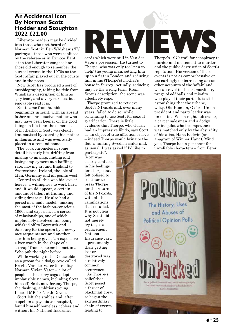#### **An Accidental Icon By Norman Scott Hodder and Stoughton 2022 £22.00**

Liberator readers may be divided into those who first heard of Norman Scott in Ben Whishaw's TV portrayal, those who were confused by the references in Exmoor Baht 'at in the Liberator songbook or those old enough to remember the surreal events in the 1970s as the Scott affair played out in the courts and in the press.

Now Scott has produced a sort of autobiography, taking its title from Whishaw's description of him as 'gay icon', and a very curious, but enjoyable read it is.

Scott came from humble beginnings in Kent, with an absent father and an abusive mother who may have been keener on the good things in life than the demands of motherhood. Scott was clearly traumatised by catching his mother in flagrante and was eventually placed in a remand home.

The book chronicles in some detail his early life, drifting from mishap to mishap, finding and losing employment at a baffling rate, moving around England to Switzerland, Ireland, the Isle of Man, Germany and all points west.

Central to all this was his love of horses, a willingness to work hard and, it would appear, a certain amount of talent at training and riding dressage. He also had a period as a male model, making the most of the fashion-conscious 1960s and experienced a series of relationships, one of which implausibly involved him being whisked off to Bayreuth and Salzburg for the opera by a newlymet acquaintance and another saw him being given "an expensive silver watch in the shape of a stirrup" from someone he met in a Soho pub the night before.

While working in the Cotswolds as a groom for a dodgy cove called Brecht Van der Vater (in reality Norman Vivian Vater – a lot of people is this sorry saga adopt implausible names, including Scott himself) Scott met Jeremy Thorpe, the dashing, ambitious young Liberal MP for North Devon.

Scott left the stables and, after a spell in a psychiatric hospital, found himself homeless, jobless and without his National Insurance

cards which were still in Van der Vater's possession. He turned to Thorpe, who was only too keen to 'help' the young man, setting him up in a flat in London and seducing him in his (Thorpe's) mother's house in Surrey. Actually, seducing may be the wrong term. From Scott's description, the scene was effectively rape.

Thorpe promised to retrieve Scott's NI cards and, over many years, failed to do so, while continuing to use Scott for sexual gratification. There is little evidence that Thorpe, who clearly had an impressive libido, saw Scott as an object of true affection or love – indeed Thorpe would bring to the flat "a hulking Swedish sailor and, as usual, I was asked if I'd like to

participate". Scott was clearly confused in his feelings for Thorpe but felt obliged to continue to press Thorpe for the return of his NI cards, with all the ramifications that entailed. It is not clear why Scott did not merely try to get a replacement National Insurance card – presumably their getting lost or destroyed was a relatively common occurrence.

As Thorpe's belief that Scott posed a threat of blackmail grew, so began the extraordinary chain of events leading to

Thorpe's 1979 trail for conspiracy to murder and incitement to murder and the public destruction of Scott's reputation. His version of these events is not as comprehensive or toe-curlingly embarrassing as some other accounts of the 'affair' and we can revel in the extraordinary range of oddballs and mis-fits who played their parts. It is still astonishing that the urbane, witty, Old Etonian, Oxford Union president and party leader was linked to a Welsh nightclub owner, a carpet salesman and a dodgy airline pilot who incompetence was matched only by the absurdity of his alias, Hans Redwin (an anagram of Winner Hand). Mind you, Thorpe had a penchant for unreliable characters – from Peter

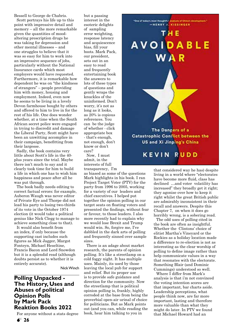Bessell to George de Chabris.

Scott portrays his life up to this point with impressive detail and memory – all the more remarkable given the quantities of moodaltering prescription drugs he was taking for depression and other mental illnesses – and one struggles to believe that it was so easy for him to work into an impressive sequence of jobs, particularly without the National Insurance cards which most employers would have requested. Furthermore, it is remarkable how dependent he was on "the kindness of strangers" – people providing him with money, housing and employment. Indeed, even now he seems to be living in a lovely Devon farmhouse bought by others and offered to him to live in for the rest of his life. One does wonder whether, at a time when the South African secret police were engaged in trying to discredit and damage the Liberal Party, Scott might have been an unwitting accomplice in their campaign, benefitting from their largesse.

Sadly, the book contains very little about Scott's life in the 40 plus years since the trial. Maybe there isn't much to say and it clearly took time for him to build a life in which one has to wish him happiness and peace after all he was put through.

The book badly needs editing to correct factual errors: for example, Auberon Waugh was never editor of Private Eye and Thorpe did not lead his party to losing two-thirds of its vote in the October 1974 election (it would take a political genius like Nick Clegg to manage to achieve something close to that).

It would also benefit from an index, if only because the supporting cast includes such figures as Mick Jagger, Margot Fonteyn, Michael Heseltine, Francis Bacon and Lord Snowdon but it is a splendid read (although doubts persist as to whether it is entirely accurate).

Nick Winch

#### **Polling Unpacked - The History, Uses and Abuses of political Opinion Polls by Mark Pack Reaktion Books 2022**

For anyone without a stats degree

but a passing interest in the esoteric delights of sampling error weighting, response latency and acquiescence bias, fill your boots. Mark Pack, our president, sets out in an easy to read and frequently entertaining book the answers to lots of these types of questions and gently wraps the knuckles of the uninformed. Don't worry, it's not as long as it looks, as 20% is copious references. You can be the judge of whether - click appropriate box - that's enough, not enough, don't know or don't care?

Now, I must admit, in the interests of full transparency, I'm

as biased as some of the questions Mark highlights in his book. I ran Project Target Voter (PTV) for the party from 1996 to 2005, working for a variety of our leaders and chief executives. I helped put together the opinion polling in our target seats on floating voters and presented the findings, without fear or favour, to those leaders. I also more recently had to explain why we would lose Brexit and Trump would win. So, forgive me, I've dabbled in the dark arts of polling and frequently sinned over sample sizes.

There is an adage about market research, the parents of opinion polling. It's like a streetlamp on a cold foggy night. It has multiple uses. Mainly, its used by those leaving the local pub for support and relief. But its proper use is to provide safe guidance and direction for the community. Now the streetlamp that is political opinion polling is, frankly, highly corroded at the base from being the proverbial open-air urinal of choice for politicians. But as Mark points out (and you can, while reading the book, hear him talking to you in

-NENRY A. KISSINGER

# **AVOI** DABLE

The Dangers of a **Catastrophic Conilict between the US and Xi Jinping's China** 

#### **KEVIN RUDD**

that considered way he has) despite living in a world where "electorates have become more fluid, class has declined …and voter volatility has increased" they broadly get it right; they agonise over how to keep it right whilst the great British public are admirably inconsistent in their recall and answers. Despite this Chapter 7, on when it does go horribly wrong, is a sobering read.

The odd uses of polling cited in the book are often as insightful. Whether the Clintons' choice of elitist Martha's Vineyard or the Rockies as a holiday location made a difference to re-election is not as interesting as the clear worship of polling to define image rather than help communicate values in a way that resonates with the electorate. Something Blair (and Dominic Cummings) understood so well.

Where I differ from Mark's analysis is that i'm not convinced the voting intention scores are that important, bar charts aside. Leadership perceptions, what people think now, are far more important, lasting and therefore more valuable than what they might do later. In PTV we found that Michael Howard had an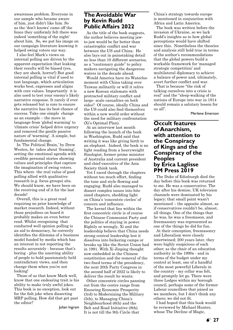awareness problem. Everyone in our sample who became aware of him, just didn't like him. So as the 'don't knows' came off the fence they uniformly felt there was indeed 'something of the night' about him. So, we put his image on our campaign literature knowing it helped swing voters our way.

I also feel Mark's views on internal polling are driven by the apparent expectation that leaking their results will be biased (yes, they are shock, horror!) But good internal polling is vital if used to test language, which articulation works best, expresses and aligns with core values. Importantly it is also used to test your enemy's likely narrative response. It rarely if ever gets released but is core to ensure the narrative has its best chance of success. Take one simple change as an example – the move in language from 'global warming' to 'climate crisis' helped drive urgency and removed the gentle passive nature of 'warming'. A simple, but fundamental change.

In 'The Political Brain,' by Drew Westen, he takes about 'framing', setting the emotional agenda with credible personal stories showing values and principles that capture the imagination of swing voters. This where the real value of good polling allied with qualitative research (e.g. focus groups) sits. We should know, we have been on the receiving end of it for the last decade!

Overall, this is a great read requiring no prior knowledge of market research. Indeed, without those prejudices on board it probably makes an even better read. Whilst recognising that conducted well opinion polling is an aid to democracy, he correctly identifies the dilemma of a business model funded by media which has an interest in not reporting the results accurately - because that's boring - plus the unerring ability of people to hold passionately held contradictory views, and then change them when you're not looking!

Those of us that know Mark well, know that one endearing trait is his ability to make truly awful jokes. This book is no exception, look out for the fish joke when dissecting MRP polling. How did that get past the editor?

Julian Ingram

#### **The Avoidable War by Kevin Rudd Public Affairs 2022**

As the title of the book suggests. the author believes meeting jawto-jaw would be far better than catastrophic conflict and war between the US and China. He also lays out in painstaking detail no less than 10 different scenarios, as a "cautionary guide" to policy makers navigating the dangerous waters in the decade ahead.

Would America have its Waterloo moment with China taking over Taiwan militarily or will it relive a new Korean stalemate with protracted military conflict and large- scale casualties on both sides? Of course, ideally China and the US could also find themselves within a new world order without the need for military confrontation (Xi's Optimal Plan).

At an interview last month following the launch of the book in Washington, Rudd said that writing it was like giving birth to an elephant. Indeed, the book is no light reading from a heavyweight Sinologist, former prime minister of Australia and current president and chief executive of the Asia Society think tank.

Yet I raced through the chapters without too much effort, finding the tone and style flowing and engaging. Rudd also managed to dissect complex issues into bite sized chapters, shedding light on China's 'concentric circles' of concern and influence.

The kernel that lies within the first concentric circle is of course the Chinese Communist Party and the politics of staying in power. Rightly or wrongly, Xi and the leadership believe that China needs strong central leadership lest it dissolves into bickering camps or breaks up like the Soviet Union had in 1991. With Xi Jinping thought now embedded in the Chinese constitution and the removal of the two fixed terms of the presidency, the next 20th Party Congress in the second half of 2022 is likely to deliver the result he wants.

Other concentric circles panning out from the centre range from Ensuring Economic Prosperity (3rd) to Modernizing the Military (5th), to Managing China's Neighbourhood (6th) and the Belt and Road Initiative (8th). It is not till the 9th Circle that

China's strategy towards europe is mentioned in conjunction with Africa and Latin America.

The book was written before the invasion of Ukraine, so we lack Rudd's insights as to how global perceptions would have shifted since this. Nonetheless the theories and analysis still hold true in terms of the author's recommendations that the global powers build a workable framework for 'managed strategic competition' and multilateral diplomacy to achieve a balance of power and, ultimately, avert further conflict and war.

That is because "the risk of talking ourselves into a crisis is real" and the "sleep-walking of the nations of Europe into war in 1914 should remain a salutary lesson for us all".

Merlene Emerson

#### **Occult features of Anarchism, with attention to the Conspiracy of Kings and the Conspiracy of the Peoples by Erica Laglisse PM Press 2019**

The Duke of Edinburgh died the day before this book was returned to me. He was a conservative. The day after his demise, UK television channels were dominated by his legacy; that small point wasn't mentioned – the opposite almost, as if conservatives couldn't be, almost, all things. One of the things that he was, he was a freemason, and freemasonry was represented as one of the things he did for fun.

At their conception, freemasonry and Liberalism were closely intertwined; 200 years later, they were highly suspicious of each other; as the chair of an education authority in the 1990s - and in terms of the budget under my control at least, one of a handful of the most powerful Liberals in the country - my collar was felt, and promptly let go. There were three Lodges within my borough council, perhaps some of the former Labour councillors that joined us we members, but I don't think any others; we did not fit.

I had hoped that this book would be reviewed by Michael Hunter, whose The Decline of Magic,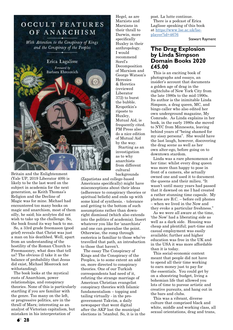

Britain and the Enlightenment (Yale UP, 2019 Liberator 409) is likely to be the last word on the subject in academia for the next generation, as Keith Thomas's Religion and the Decline of Magic was for mine. Michael had encountered too many books on magic and anarchism, most of them silly, he said; his acolytes did not wish to take up the challenge. So, the book found its way back to me.

So, a 33rd grade freemason (good grief) reveals that Christ was just a man on his deathbed. Well, apart from an understanding of the hostility of the Roman Church to Freemasonry, what does that tell us? The obvious (I take it as the balance of probability that Jesus did exist, Michael Moorcock not withstanding).

The book looks at the mystical roots of Anarchism, power relationships, and conspiracy theories. None of this is particularly startling if you are familiar with the genre. Too many on the left, or progressive politics, are in the thrall of Marx; interesting as an analyst of Victorian capitalism, but mistaken in his interpretation of

Hegel, as are Marxists and Marxians in their thrall to Darwin, more specifically Huxley in their anthropology. I would recommend Sorel's Decomposition of Marxism and George Watson's Heresies & Heretics (reviewed Liberator 372) to burst the bubble. Kropotkin's riposte to Huxley, Mutual Aid, is frequently cited. PM Press also do a nice edition of Mutual Aid by the way.

Starting as an investigation as to why anarchists from different cultural backgrounds

(Zapatistas and college-based Americans specifically) might have misconceptions about their ideas (adherence to conspiracy theories or spiritual beliefs) and ends up with some kind of synthesis. - tolerance and getting to the bottom of such assumptions rather than downright dismissal (which also extends into the politics of academia). Insert whatever you like for 'anarchists' and one can generalise the point. Otherwise, the romp through esoterica is familiar to those who've travelled that path, an introduction to those that haven't.

The essay The Conspiracy of Kings and the Conspiracy of the Peoples, is to some extent an add on, more directed to conspiracy theories. One of our Turkish correspondents had need of it, refuting the strange marriage of American Christian evangelist conspiracy theories with Islamic fundamentalism – topping and tailing virtually - in the progovernment Takvim, a daily newspaper that went digital after the AKP lost the municipal elections in ?stanbul. So, it is in the post. La lutte continue. There is a podcast of Erica Laglisse speaking of this book at [https://www.lse.ac.uk/lse](https://www.lse.ac.uk/lse-player?id=4676)[player?id=4676](https://www.lse.ac.uk/lse-player?id=4676)

Stewart Rayment

#### **The Drag Explosion by Linda Simpson Domain Books 2020 £45.00**

This is an exciting book of photographs and essays, an insider's account that documents a golden age of drag in the nightclubs of New York City from the late 1980s to the mid-1990s. Its author is the inimitable Linda Simpson, a drag queen, MC, and bingo caller who also edited her own underground magazine, My Comrade. As Linda explains in her book, in the early 1980s she moved to NYC from Minnesota, leaving behind years of "being shamed for my sissy persona". She would have the last laugh, however, discovering the drag scene as well as her own alter-ego, before going on to downtown stardom.

Linda was a rare phenomenon of her time: whilst every drag queen was more than happy to pose in front of a camera, she actually owned one and used it to document the queens and their milieu. "It wasn't until many years had passed that it dawned on me I had created a rather stunning time capsule. My photos are B.C. – before cell phones – when we lived in the Now and they evoke a particular freshness."

As we were all aware at the time, 'the Now' had a liberating side as well as a dark side. Housing was cheap and plentiful; part-time and casual employment was easily available; further and higher education was free in the UK and in the USA it was more affordable than it is today.

This social-economic context meant that people did not have to spend all their time working to earn money just to pay for the essentials. You could get by on a shoestring budget, living a bohemian life that allowed you lots of time to pursue artistic and creative pursuits, and hang out in the bars and clubs.

This was a vibrant, diverse culture that comprised black and white, middle and working class, all sexual orientations, drag and trans,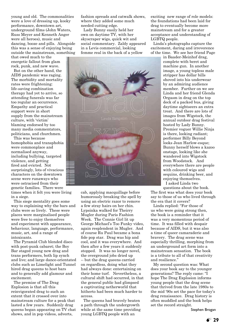young and old. The commonalities were a love of dressing up, kooky performance, downtown art, underground films (John Waters, Russ Meyer and Kenneth Anger were all heroes), music and dancing, booze and pills. Alongside this was a sense of enjoying being outside the mainstream, something

that owed much to the energetic fallout from glam rock, punk, and new wave.

But on the other hand, the AIDS pandemic was raging. The morbidity and mortality rates were frightening: life-saving combination therapy had yet to arrive, so attending funerals was far too regular an occurrence. Empathy and practical support were in short supply from the mainstream culture, with 'victim' blaming endorsed by too many media commentators, politicians, and churchmen.

This was because homophobia and transphobia were commonplace and normalised anyway, including bullying, targeted violence, and getting fired and evicted. Not surprisingly, lots of vivacious characters on the downtown scene were runaways who were ostracised from their genetic families. There were

times when it felt you were living in a siege.

This siege mentality goes some way to explaining why the bars and clubs were so lively. These were places were marginalised people were free to enjoy themselves and experiment with appearance, behaviour, language, performance, music, art, and a range of intoxicants.

The Pyramid Club blended disco with post-punk cabaret; the Boy Bar staged young new drag and trans performers, both lip synch and live; and large dance-orientated clubs such as Limelight and Tunnel hired drag queens to host bars and to generally add glamour and excitement.

The premise of The Drag Explosion is that all this reinvigorated drag to such an extent that it crossed over into mainstream culture for a peak that lasted a few years. Suddenly drag queens began appearing on TV chat shows, and in pop videos, adverts,

fashion spreads and catwalk shows, where they added some much needed cutting edge.

Lady Bunny easily held her own on daytime TV, with her skyscraper wigs, quick wit and social commentary. Zaldy appeared in a Levis commercial, looking femme real in the back of a yellow



cab, applying macquillage before humorously breaking the spell by using an electric razor to remove a few stray hairs on her chin. Lypsinka walked for Theirry Mugler during Paris Fashion Week. The Connie Girl lit up George Michael's Too Funky video, again resplendent in Mugler. And of course Ru Paul became a bona fide pop star. Drag was hip and cool, and it was everywhere. And then after a few years it suddenly stopped. It was no longer novel, the overground jobs dried up -- but the drag queens carried on regardless, doing what they had always done: entertaining on their home turf. Nevertheless, a cultural shift had occurred, in that the general public had glimpsed a captivating netherworld that hitherto had been much harder to access.

The queens had bravely beaten a path through the undergrowth while at the same time providing young LGBTQ people with an

exciting new range of role models: the foundations had been laid for drag to eventually become more mainstream and for a greater acceptance and understanding of LGBTQ people.

Linda's photographs capture the excitement, daring and irreverence of the time. We see her friend Page

in Baader-Meinhof drag, complete with beret and machine gun. In another image, a young topless male stripper has dollar bills shoved into his underwear by an admiring audience member. Further on we see Linda and her friend Glenda Orgasm in drag on the top deck of a packed bus, giving daytime sightseers an extra treat. And there are lots of images from Wigstock, the annual outdoor drag festival hosted by Lady Bunny. Premier voguer Willie Ninja is there, looking radiant; performer Billy Beyond looks Jean Harlow-esque; Bunny herself blows a kazoo onstage, looking like she wandered into Wigstock from Woodstock. And everywhere there are people with coloured wigs and sequins, drinking beer, and enjoying themselves. I asked Linda two

questions about the book. The first was what does your book say to those of us who lived through the era that it covers?

Linda replied: "For those of us who were going strong then, the book is a reminder that it was a very momentous period of time. It was filled with despair because of AIDS, but it was also a time of queer camaraderie and bravery. The drag scene was especially thrilling, morphing from an underground art form into a mainstream sensation. The book is a tribute to all of that creativity and resilience."

My second question was: What does your book say to the younger generations? The reply came: "I hope The Drag Explosion informs young people that the drag scene that thrived from the late 1980s to the mid '90s set the pace for today's drag renaissance. Drag history is often muddled and the book helps set the record straight.

Stephen Brogan